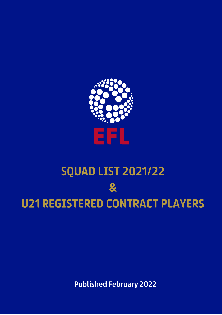

# **SQUAD LIST 2021/22**  $\overline{\mathbf{g}}$ **U21 REGISTERED CONTRACT PLAYERS**

**Published February 2022**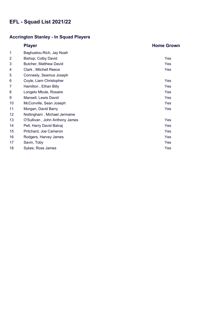### **Accrington Stanley - In Squad Players**

|    | <b>Player</b>                  | <b>Home Grown</b> |
|----|--------------------------------|-------------------|
| 1  | Baghuelou-Rich, Jay Noah       |                   |
| 2  | Bishop, Colby David            | Yes               |
| 3  | Butcher, Matthew David         | Yes               |
| 4  | Clark, Mitchell Reece          | Yes               |
| 5  | Conneely, Seamus Joseph        |                   |
| 6  | Coyle, Liam Christopher        | Yes               |
| 7  | Hamilton, Ethan Billy          | Yes               |
| 8  | Longelo Mbule, Rosaire         | Yes               |
| 9  | Mansell, Lewis David           | Yes               |
| 10 | McConville, Sean Joseph        | Yes               |
| 11 | Morgan, David Barry            | Yes               |
| 12 | Nottingham, Michael Jermaine   |                   |
| 13 | O'Sullivan, John Anthony James | Yes               |
| 14 | Pell, Harry David Balvaj       | Yes               |
| 15 | Pritchard, Joe Cameron         | Yes               |
| 16 | Rodgers, Harvey James          | Yes               |
| 17 | Savin, Toby                    | Yes               |
| 18 | Sykes, Ross James              | Yes               |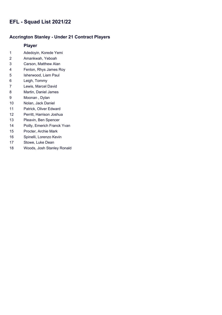#### **Accrington Stanley - Under 21 Contract Players**

- Adedoyin, Korede Yemi
- Amankwah, Yeboah
- Carson, Matthew Alan
- Fenlon, Rhys James Roy
- Isherwood, Liam Paul
- Leigh, Tommy
- Lewis, Marcel David
- Martin, Daniel James
- Moonan , Dylan
- Nolan, Jack Daniel
- Patrick, Oliver Edward
- Perritt, Harrison Joshua
- Pleavin, Ben Spencer
- Poilly, Emerich Franck Yvan
- Procter, Archie Mark
- Spinelli, Lorenzo Kevin
- Stowe, Luke Dean
- Woods, Josh Stanley Ronald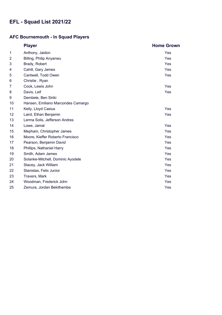### **AFC Bournemouth - In Squad Players**

|                | <b>Player</b>                      | <b>Home Grown</b> |
|----------------|------------------------------------|-------------------|
| 1              | Anthony, Jaidon                    | Yes               |
| $\overline{2}$ | Billing, Philip Anyanwu            | Yes               |
| 3              | Brady, Robert                      | Yes               |
| 4              | Cahill, Gary James                 | Yes               |
| 5              | Cantwell, Todd Owen                | Yes               |
| 6              | Christie, Ryan                     |                   |
| $\overline{7}$ | Cook, Lewis John                   | Yes               |
| 8              | Davis, Leif                        | Yes               |
| 9              | Dembele, Ben Siriki                |                   |
| 10             | Hansen, Emiliano Marcondes Camargo |                   |
| 11             | Kelly, Lloyd Casius                | Yes               |
| 12             | Laird, Ethan Benjamin              | Yes               |
| 13             | Lerma Solis, Jefferson Andres      |                   |
| 14             | Lowe, Jamal                        | Yes               |
| 15             | Mepham, Christopher James          | Yes               |
| 16             | Moore, Kieffer Roberto Francisco   | Yes               |
| 17             | Pearson, Benjamin David            | Yes               |
| 18             | Phillips, Nathaniel Harry          | Yes               |
| 19             | Smith, Adam James                  | Yes               |
| 20             | Solanke-Mitchell, Dominic Ayodele  | Yes               |
| 21             | Stacey, Jack William               | Yes               |
| 22             | Stanislas, Felix Junior            | Yes               |
| 23             | Travers, Mark                      | Yes               |
| 24             | Woodman, Frederick John            | Yes               |
| 25             | Zemura, Jordan Bekithemba          | Yes               |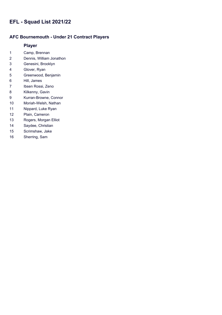#### **AFC Bournemouth - Under 21 Contract Players**

- Camp, Brennan
- Dennis, William Jonathon
- Genesini, Brooklyn
- Glover, Ryan
- Greenwood, Benjamin
- Hill, James
- Ibsen Rossi, Zeno
- Kilkenny, Gavin
- Kurran-Browne, Connor
- Moriah-Welsh, Nathan
- Nippard, Luke Ryan
- Plain, Cameron
- Rogers, Morgan Elliot
- Saydee, Christian
- Scrimshaw, Jake
- Sherring, Sam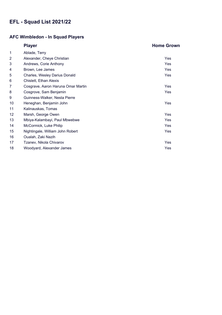### **AFC Wimbledon - In Squad Players**

|                | <b>Player</b>                      | <b>Home Grown</b> |
|----------------|------------------------------------|-------------------|
| 1              | Ablade, Terry                      |                   |
| $\overline{2}$ | Alexander, Cheye Christian         | Yes               |
| 3              | Andrews, Corie Anthony             | Yes               |
| 4              | Brown, Lee James                   | Yes               |
| 5              | Charles, Wesley Darius Donald      | Yes               |
| 6              | Chislett, Ethan Alexis             |                   |
| 7              | Cosgrave, Aaron Haruna Omar Martin | Yes               |
| 8              | Cosgrove, Sam Benjamin             | Yes               |
| 9              | Guinness-Walker, Nesta Pierre      |                   |
| 10             | Heneghan, Benjamin John            | Yes               |
| 11             | Kalinauskas, Tomas                 |                   |
| 12             | Marsh, George Owen                 | Yes               |
| 13             | Mbiya-Kalambayi, Paul Mbwebwe      | Yes               |
| 14             | McCormick, Luke Philip             | Yes               |
| 15             | Nightingale, William John Robert   | Yes               |
| 16             | Oualah, Zaki Nazih                 |                   |
| 17             | Tzanev, Nikola Chivarov            | Yes               |
| 18             | Woodyard, Alexander James          | Yes               |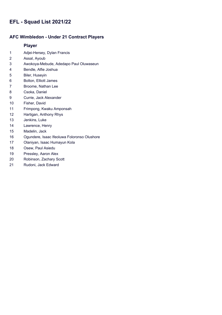#### **AFC Wimbledon - Under 21 Contract Players**

- Adjei-Hersey, Dylan Francis
- Assal, Ayoub
- Awokoya-Mebude, Adedapo Paul Oluwaseun
- Bendle, Alfie Joshua
- Biler, Huseyin
- Bolton, Elliott James
- Broome, Nathan Lee
- Csoka, Daniel
- Currie, Jack Alexander
- Fisher, David
- Frimpong, Kwaku Amponsah
- Hartigan, Anthony Rhys
- Jenkins, Luke
- Lawrence, Henry
- Madelin, Jack
- Ogundere, Isaac Ifeoluwa Foloronso Olushore
- Olaniyan, Isaac Humayun Kola
- Osew, Paul Asiedu
- Pressley, Aaron Alex
- Robinson, Zachary Scott
- Rudoni, Jack Edward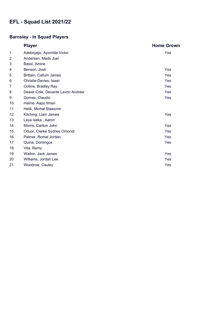# **Barnsley - In Squad Players**

|    | <b>Player</b>                    | <b>Home Grown</b> |
|----|----------------------------------|-------------------|
| 1  | Adeboyejo, Ayomide Victor        | Yes               |
| 2  | Andersen, Mads Juel              |                   |
| 3  | Bassi, Amine                     |                   |
| 4  | Benson, Josh                     | Yes               |
| 5  | Brittain, Callum James           | Yes               |
| 6  | Christie-Davies, Isaac           | Yes               |
| 7  | Collins, Bradley Ray             | Yes               |
| 8  | Dewar-Cole, Devante Lavon Andrew | Yes               |
| 9  | Gomes, Claudio                   | Yes               |
| 10 | Halme, Aapo Ilmari               |                   |
| 11 | Helik, Michal Slawomir           |                   |
| 12 | Kitching, Liam James             | Yes               |
| 13 | Leya Iseka, Aaron                |                   |
| 14 | Morris, Carlton John             | Yes               |
| 15 | Oduor, Clarke Sydney Omondi      | Yes               |
| 16 | Palmer, Romal Jordan             | Yes               |
| 17 | Quina, Domingos                  | Yes               |
| 18 | Vita, Remy                       |                   |
| 19 | Walton, Jack James               | Yes               |
| 20 | Williams, Jordan Lee             | Yes               |
| 21 | Woodrow, Cauley                  | Yes               |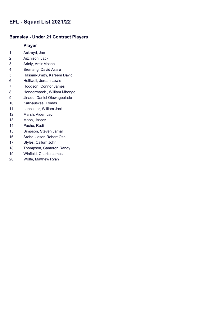#### **Barnsley - Under 21 Contract Players**

- Ackroyd, Joe
- Aitchison, Jack
- Ariely, Amir Moshe
- Bremang, David Asare
- Hassan-Smith, Kareem David
- Helliwell, Jordan Lewis
- Hodgson, Connor James
- Hondermarck , William Mbongo
- Jinadu, Daniel Oluwagbolade
- Kalinauskas, Tomas
- Lancaster, William Jack
- Marsh, Aiden Levi
- Moon, Jasper
- Pache, Rudi
- Simpson, Steven Jamal
- Sraha, Jason Robert Osei
- Styles, Callum John
- Thompson, Cameron Randy
- Winfield, Charlie James
- Wolfe, Matthew Ryan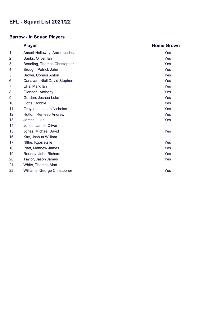# **Barrow - In Squad Players**

|    | <b>Player</b>                | <b>Home Grown</b> |
|----|------------------------------|-------------------|
| 1  | Amadi-Holloway, Aaron Joshua | Yes               |
| 2  | Banks, Oliver lan            | <b>Yes</b>        |
| 3  | Beadling, Thomas Christopher | Yes               |
| 4  | Brough, Patrick John         | Yes               |
| 5  | Brown, Connor Anton          | Yes               |
| 6  | Canavan, Niall David Stephen | Yes               |
| 7  | Ellis, Mark lan              | Yes               |
| 8  | Glennon, Anthony             | Yes               |
| 9  | Gordon, Joshua Luke          | Yes               |
| 10 | Gotts, Robbie                | Yes               |
| 11 | Grayson, Joseph Nicholas     | Yes               |
| 12 | Hutton, Remeao Andrew        | Yes               |
| 13 | James, Luke                  | Yes               |
| 14 | Jones, James Oliver          |                   |
| 15 | Jones, Michael David         | Yes               |
| 16 | Kay, Joshua William          |                   |
| 17 | Ntlhe, Kgosietsile           | Yes               |
| 18 | Platt, Matthew James         | Yes               |
| 19 | Rooney, John Richard         | Yes               |
| 20 | Taylor, Jason James          | Yes               |
| 21 | White, Thomas Alan           |                   |
| 22 | Williams, George Christopher | Yes               |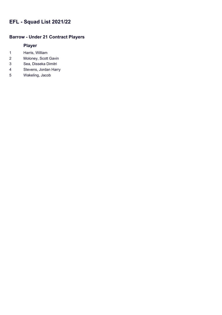### **Barrow - Under 21 Contract Players**

- Harris, William
- Moloney, Scott Gavin
- Sea, Disseka Dimitri
- Stevens, Jordan Harry
- Wakeling, Jacob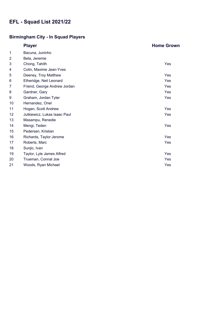# **Birmingham City - In Squad Players**

|                | <b>Player</b>                | <b>Home Grown</b> |
|----------------|------------------------------|-------------------|
| 1              | Bacuna, Juninho              |                   |
| $\overline{2}$ | Bela, Jeremie                |                   |
| 3              | Chong, Tahith                | Yes               |
| 4              | Colin, Maxime Jean-Yves      |                   |
| 5              | Deeney, Troy Matthew         | Yes               |
| 6              | Etheridge, Neil Leonard      | Yes               |
| 7              | Friend, George Andrew Jordan | Yes               |
| 8              | Gardner, Gary                | <b>Yes</b>        |
| 9              | Graham, Jordan Tyler         | Yes               |
| 10             | Hernandez, Onel              |                   |
| 11             | Hogan, Scott Andrew          | Yes               |
| 12             | Jutkiewicz, Lukas Isaac Paul | Yes               |
| 13             | Masampu, Renedie             |                   |
| 14             | Mengi, Teden                 | Yes               |
| 15             | Pedersen, Kristian           |                   |
| 16             | Richards, Taylor Jerome      | Yes               |
| 17             | Roberts, Marc                | Yes               |
| 18             | Sunjic, Ivan                 |                   |
| 19             | Taylor, Lyle James Alfred    | Yes               |
| 20             | Trueman, Connal Joe          | Yes               |
| 21             | Woods, Ryan Michael          | Yes               |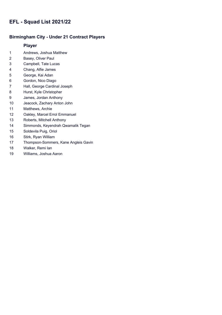#### **Birmingham City - Under 21 Contract Players**

- Andrews, Joshua Matthew
- Basey, Oliver Paul
- Campbell, Tate Lucas
- Chang, Alfie James
- George, Kai Adan
- Gordon, Nico Diago
- Hall, George Cardinal Joseph
- Hurst, Kyle Christopher
- James, Jordan Anthony
- Jeacock, Zachary Anton John
- Matthews, Archie
- Oakley, Marcel Errol Emmanuel
- Roberts, Mitchell Anthony
- Simmonds, Keyendrah Qwamalik Tegan
- Soldevila Puig, Oriol
- Stirk, Ryan William
- Thompson-Sommers, Kane Angleis Gavin
- Walker, Remi Ian
- Williams, Joshua Aaron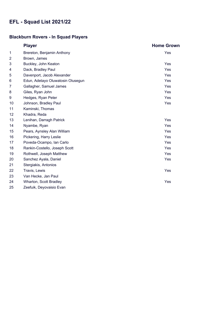### **Blackburn Rovers - In Squad Players**

|    | <b>Player</b>                     | <b>Home Grown</b> |
|----|-----------------------------------|-------------------|
| 1  | Brereton, Benjamin Anthony        | Yes               |
| 2  | Brown, James                      |                   |
| 3  | Buckley, John Keaton              | Yes               |
| 4  | Dack, Bradley Paul                | Yes               |
| 5  | Davenport, Jacob Alexander        | Yes               |
| 6  | Edun, Adetayo Oluwatosin Olusegun | Yes               |
| 7  | Gallagher, Samuel James           | Yes               |
| 8  | Giles, Ryan John                  | Yes               |
| 9  | Hedges, Ryan Peter                | Yes               |
| 10 | Johnson, Bradley Paul             | Yes               |
| 11 | Kaminski, Thomas                  |                   |
| 12 | Khadra, Reda                      |                   |
| 13 | Lenihan, Darragh Patrick          | Yes               |
| 14 | Nyambe, Ryan                      | Yes               |
| 15 | Pears, Aynsley Alan William       | Yes               |
| 16 | Pickering, Harry Leslie           | Yes               |
| 17 | Poveda-Ocampo, Ian Carlo          | Yes               |
| 18 | Rankin-Costello, Joseph Scott     | Yes               |
| 19 | Rothwell, Joseph Matthew          | Yes               |
| 20 | Sanchez Ayala, Daniel             | Yes               |
| 21 | Stergiakis, Antonios              |                   |
| 22 | Travis, Lewis                     | Yes               |
| 23 | Van Hecke, Jan Paul               |                   |
| 24 | Wharton, Scott Bradley            | Yes               |
| 25 | Zeefuik, Deyovaisio Evan          |                   |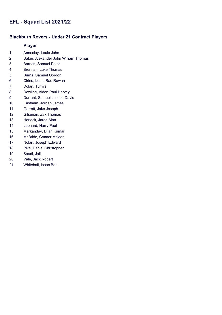#### **Blackburn Rovers - Under 21 Contract Players**

- Annesley, Louie John
- Baker, Alexander John William Thomas
- Barnes, Samuel Peter
- Brennan, Luke Thomas
- Burns, Samuel Gordon
- Cirino, Lenni Rae Rowan
- Dolan, Tyrhys
- Dowling, Aidan Paul Harvey
- Durrant, Samuel Joseph David
- Eastham, Jordan James
- Garrett, Jake Joseph
- Gilsenan, Zak Thomas
- Harlock, Jared Alan
- Leonard, Harry Paul
- Markanday, Dilan Kumar
- McBride, Connor Mclean
- Nolan, Joseph Edward
- Pike, Daniel Christopher
- Saadi, Jalil
- Vale, Jack Robert
- Whitehall, Isaac Ben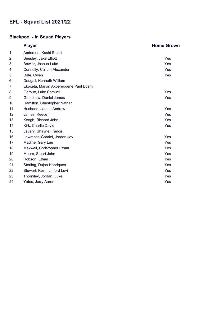# **Blackpool - In Squad Players**

|    | <b>Player</b>                          | <b>Home Grown</b> |
|----|----------------------------------------|-------------------|
| 1  | Anderson, Keshi Stuart                 |                   |
| 2  | Beesley, Jake Elliott                  | Yes               |
| 3  | Bowler, Joshua Luke                    | Yes               |
| 4  | Connolly, Callum Alexander             | Yes               |
| 5  | Dale, Owen                             | Yes               |
| 6  | Dougall, Kenneth William               |                   |
| 7  | Ekpiteta, Marvin Akpereogene Paul Edem |                   |
| 8  | Garbutt, Luke Samuel                   | Yes               |
| 9  | Grimshaw, Daniel James                 | Yes               |
| 10 | Hamilton, Christopher Nathan           |                   |
| 11 | Husband, James Andrew                  | Yes               |
| 12 | James, Reece                           | Yes               |
| 13 | Keogh, Richard John                    | Yes               |
| 14 | Kirk, Charlie David                    | Yes               |
| 15 | Lavery, Shayne Francis                 |                   |
| 16 | Lawrence-Gabriel, Jordan Jay           | Yes               |
| 17 | Madine, Gary Lee                       | Yes               |
| 18 | Maxwell, Christopher Ethan             | Yes               |
| 19 | Moore, Stuart John                     | Yes               |
| 20 | Robson, Ethan                          | Yes               |
| 21 | Sterling, Dujon Henriques              | Yes               |
| 22 | Stewart, Kevin Linford Levi            | Yes               |
| 23 | Thorniley, Jordan, Luke                | Yes               |
| 24 | Yates, Jerry Aaron                     | Yes               |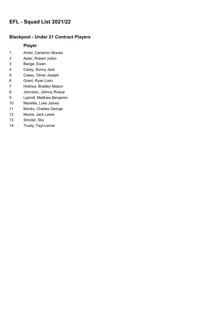#### **Blackpool - Under 21 Contract Players**

- Antwi, Cameron Akwasi
- Apter, Robert Julian
- Bange, Ewan
- Carey, Sonny Jack
- Casey, Oliver Joseph
- Grant, Ryan Liam
- Holmes, Bradley Mason
- Johnston, Johnny Roque
- Liptrott, Matthew Benjamin
- Mariette, Luke James
- Monks, Charles George
- Moore, Jack Lewis
- Sinclair, Sky
- Trusty, Tayt-Lemar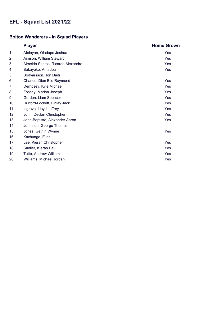# **Bolton Wanderers - In Squad Players**

|                | <b>Player</b>                     | <b>Home Grown</b> |
|----------------|-----------------------------------|-------------------|
| 1              | Afolayan, Oladapo Joshua          | Yes               |
| $\overline{2}$ | Aimson, William Stewart           | Yes               |
| 3              | Almeida Santos, Ricardo Alexandre | Yes               |
| 4              | Bakayoko, Amadou                  | Yes               |
| 5              | Bodvarsson, Jon Dadi              |                   |
| 6              | Charles, Dion Elie Raymond        | Yes               |
| 7              | Dempsey, Kyle Michael             | Yes               |
| 8              | Fossey, Marlon Joseph             | Yes               |
| 9              | Gordon, Liam Spencer              | Yes               |
| 10             | Hurford-Lockett, Finlay Jack      | Yes               |
| 11             | Isgrove, Lloyd Jeffrey            | Yes               |
| 12             | John, Declan Christopher          | Yes               |
| 13             | John-Baptiste, Alexander Aaron    | Yes               |
| 14             | Johnston, George Thomas           |                   |
| 15             | Jones, Gethin Wynne               | Yes               |
| 16             | Kachunga, Elias                   |                   |
| 17             | Lee, Kieran Christopher           | Yes               |
| 18             | Sadlier, Kieran Paul              | Yes               |
| 19             | Tutte, Andrew William             | Yes               |
| 20             | Williams, Michael Jordan          | Yes               |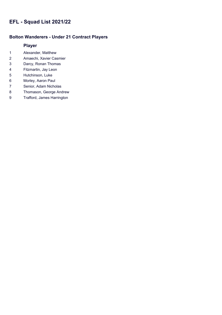#### **Bolton Wanderers - Under 21 Contract Players**

- Alexander, Matthew
- Amaechi, Xavier Casmier
- Darcy, Ronan Thomas
- Fitzmartin, Jay Leon
- Hutchinson, Luke
- Morley, Aaron Paul
- Senior, Adam Nicholas
- Thomason, George Andrew
- Trafford, James Harrington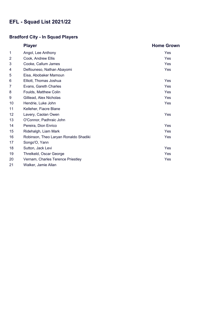# **Bradford City - In Squad Players**

|                | <b>Player</b>                         | <b>Home Grown</b> |
|----------------|---------------------------------------|-------------------|
| 1              | Angol, Lee Anthony                    | Yes               |
| $\overline{2}$ | Cook, Andrew Ellis                    | Yes               |
| 3              | Cooke, Callum James                   | Yes               |
| 4              | Delfouneso, Nathan Abayomi            | <b>Yes</b>        |
| 5              | Eisa, Abobaker Mamoun                 |                   |
| 6              | Elliott, Thomas Joshua                | Yes               |
| 7              | Evans, Gareth Charles                 | Yes               |
| 8              | Foulds, Matthew Colin                 | <b>Yes</b>        |
| 9              | Gilliead, Alex Nicholas               | Yes               |
| 10             | Hendrie, Luke John                    | Yes               |
| 11             | Kelleher, Fiacre Blane                |                   |
| 12             | Lavery, Caolan Owen                   | Yes               |
| 13             | O'Connor, Padhraic John               |                   |
| 14             | Pereira, Dion Enrico                  | <b>Yes</b>        |
| 15             | Ridehalgh, Liam Mark                  | Yes               |
| 16             | Robinson, Theo Laryan Ronaldo Shadiki | Yes               |
| 17             | Songo'O, Yann                         |                   |
| 18             | Sutton, Jack Levi                     | <b>Yes</b>        |
| 19             | Threlkeld, Oscar George               | Yes               |
| 20             | Vernam, Charles Terence Priestley     | Yes               |
| 21             | Walker, Jamie Allan                   |                   |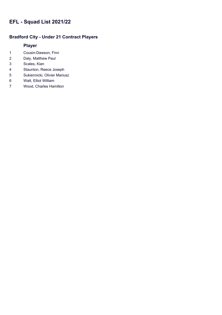#### **Bradford City - Under 21 Contract Players**

- Cousin-Dawson, Finn
- Daly, Matthew Paul
- Scales, Kian
- Staunton, Reece Joseph
- Sukiennicki, Olivier Mariusz
- Watt, Elliot William
- Wood, Charles Hamilton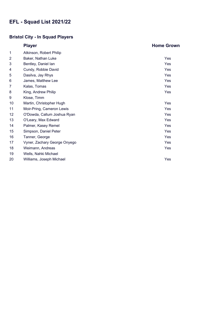# **Bristol City - In Squad Players**

|                | <b>Player</b>                | <b>Home Grown</b> |
|----------------|------------------------------|-------------------|
| 1              | Atkinson, Robert Philip      |                   |
| $\overline{2}$ | Baker, Nathan Luke           | Yes               |
| 3              | Bentley, Daniel lan          | Yes               |
| 4              | Cundy, Robbie David          | Yes               |
| 5              | Dasilva, Jay Rhys            | Yes               |
| 6              | James, Matthew Lee           | Yes               |
| 7              | Kalas, Tomas                 | Yes               |
| 8              | King, Andrew Philip          | Yes               |
| 9              | Klose, Timm                  |                   |
| 10             | Martin, Christopher Hugh     | Yes               |
| 11             | Moir-Pring, Cameron Lewis    | Yes               |
| 12             | O'Dowda, Callum Joshua Ryan  | Yes               |
| 13             | O'Leary, Max Edward          | Yes               |
| 14             | Palmer, Kasey Remel          | Yes               |
| 15             | Simpson, Daniel Peter        | Yes               |
| 16             | Tanner, George               | Yes               |
| 17             | Vyner, Zachary George Onyego | Yes               |
| 18             | Weimann, Andreas             | Yes               |
| 19             | Wells, Nahki Michael         |                   |
| 20             | Williams, Joseph Michael     | Yes               |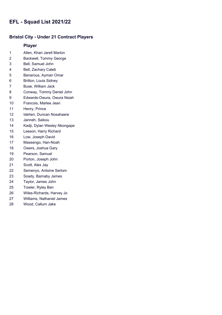#### **Bristol City - Under 21 Contract Players**

- Allen, Khari Jarell Marlon
- Backwell, Tommy George
- Bell, Samuel John
- Bell, Zachary Caleb
- Benarous, Ayman Omar
- Britton, Louis Sidney
- Buse, William Jack
- Conway, Tommy Daniel John
- Edwards-Owura, Owura Nsiah
- Francois, Marlee Jean
- Henry, Prince
- Idehen, Duncan Nosahaere
- Janneh, Saikou
- Kadji, Dylan Wesley Nkongape
- Leeson, Harry Richard
- Low, Joseph David
- Massengo, Han-Noah
- Owers, Joshua Gary
- Pearson, Samuel
- Porton, Joseph John
- Scott, Alex Jay
- Semenyo, Antoine Serlom
- Soady, Barnaby James
- Taylor, James John
- Towler, Ryley Ben
- Wiles-Richards, Harvey Jo
- Williams, Nathaniel James
- Wood, Callum Jake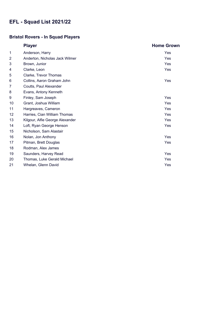# **Bristol Rovers - In Squad Players**

|                | <b>Player</b>                   | <b>Home Grown</b> |
|----------------|---------------------------------|-------------------|
| 1              | Anderson, Harry                 | Yes               |
| $\overline{2}$ | Anderton, Nicholas Jack Wilmer  | Yes               |
| 3              | Brown, Junior                   | Yes               |
| 4              | Clarke, Leon                    | <b>Yes</b>        |
| 5              | Clarke, Trevor Thomas           |                   |
| 6              | Collins, Aaron Graham John      | Yes               |
| 7              | Coutts, Paul Alexander          |                   |
| 8              | Evans, Antony Kenneth           |                   |
| 9              | Finley, Sam Joseph              | Yes               |
| 10             | Grant, Joshua William           | Yes               |
| 11             | Hargreaves, Cameron             | Yes               |
| 12             | Harries, Cian William Thomas    | Yes               |
| 13             | Kilgour, Alfie George Alexander | Yes               |
| 14             | Loft, Ryan George Henson        | Yes               |
| 15             | Nicholson, Sam Alastair         |                   |
| 16             | Nolan, Jon Anthony              | Yes               |
| 17             | Pitman, Brett Douglas           | <b>Yes</b>        |
| 18             | Rodman, Alex James              |                   |
| 19             | Saunders, Harvey Read           | Yes               |
| 20             | Thomas, Luke Gerald Michael     | Yes               |
| 21             | Whelan, Glenn David             | Yes               |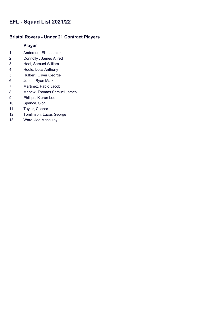#### **Bristol Rovers - Under 21 Contract Players**

- Anderson, Elliot Junior
- Connolly , James Alfred
- Heal, Samuel William
- Hoole, Luca Anthony
- Hulbert, Oliver George
- Jones, Ryan Mark
- Martinez, Pablo Jacob
- Mehew, Thomas Samuel James
- Phillips, Kieran Lee
- Spence, Sion
- Taylor, Connor
- Tomlinson, Lucas George
- Ward, Jed Macaulay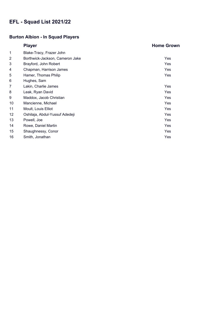# **Burton Albion - In Squad Players**

|                | <b>Player</b>                   | <b>Home Grown</b> |
|----------------|---------------------------------|-------------------|
| 1              | Blake-Tracy, Frazer John        |                   |
| $\overline{2}$ | Borthwick-Jackson, Cameron Jake | Yes               |
| 3              | Brayford, John Robert           | <b>Yes</b>        |
| 4              | Chapman, Harrison James         | Yes               |
| 5              | Hamer, Thomas Philip            | Yes               |
| 6              | Hughes, Sam                     |                   |
| 7              | Lakin, Charlie James            | Yes               |
| 8              | Leak, Ryan David                | <b>Yes</b>        |
| 9              | Maddox, Jacob Christian         | Yes               |
| 10             | Mancienne, Michael              | Yes               |
| 11             | Moult, Louis Elliot             | Yes               |
| 12             | Oshilaja, Abdul-Yussuf Adedeji  | Yes               |
| 13             | Powell, Joe                     | Yes               |
| 14             | Rowe, Daniel Martin             | Yes               |
| 15             | Shaughnessy, Conor              | Yes               |
| 16             | Smith, Jonathan                 | Yes               |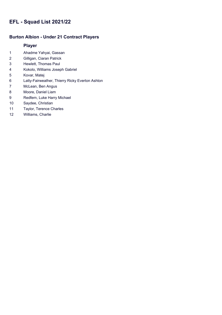#### **Burton Albion - Under 21 Contract Players**

- Ahadme Yahyai, Gassan
- Gilligan, Ciaran Patrick
- Hewlett, Thomas Paul
- Kokolo, Williams Joseph Gabriel
- Kovar, Matej
- Latty-Fairweather, Thierry Ricky Everton Ashton
- McLean, Ben Angus
- Moore, Daniel Liam
- Redfern, Luke Harry Michael
- Saydee, Christian
- Taylor, Terence Charles
- Williams, Charlie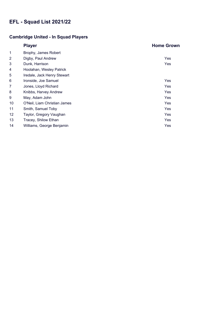# **Cambridge United - In Squad Players**

|                | <b>Player</b>                | <b>Home Grown</b> |
|----------------|------------------------------|-------------------|
| 1              | Brophy, James Robert         |                   |
| $\overline{2}$ | Digby, Paul Andrew           | Yes               |
| 3              | Dunk, Harrison               | Yes               |
| 4              | Hoolahan, Wesley Patrick     |                   |
| 5              | Iredale, Jack Henry Stewart  |                   |
| 6              | Ironside, Joe Samuel         | Yes               |
| 7              | Jones, Lloyd Richard         | Yes               |
| 8              | Knibbs, Harvey Andrew        | Yes               |
| 9              | May, Adam John               | Yes               |
| 10             | O'Neil, Liam Christian James | Yes               |
| 11             | Smith, Samuel Toby           | Yes               |
| 12             | Taylor, Gregory Vaughan      | Yes               |
| 13             | Tracey, Shilow Ethan         | Yes               |
| 14             | Williams, George Benjamin    | Yes               |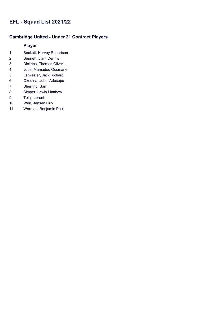#### **Cambridge United - Under 21 Contract Players**

- Beckett, Harvey Robertson
- Bennett, Liam Dennis
- Dickens, Thomas Oliver
- Jobe, Mamadou Ousmane
- Lankester, Jack Richard
- Okedina, Jubril Adesope
- Sherring, Sam
- Simper, Lewis Matthew
- Tolaj, Lorent
- Weir, Jensen Guy
- Worman, Benjamin Paul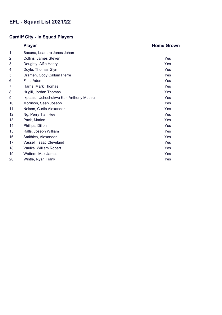# **Cardiff City - In Squad Players**

|                | <b>Player</b>                           | <b>Home Grown</b> |
|----------------|-----------------------------------------|-------------------|
| 1              | Bacuna, Leandro Jones Johan             |                   |
| $\overline{2}$ | Collins, James Steven                   | Yes               |
| 3              | Doughty, Alfie Henry                    | Yes               |
| 4              | Doyle, Thomas Glyn                      | Yes               |
| 5              | Drameh, Cody Callum Pierre              | Yes               |
| 6              | Flint, Aden                             | Yes               |
| 7              | Harris, Mark Thomas                     | Yes               |
| 8              | Hugill, Jordan Thomas                   | Yes               |
| 9              | Ikpeazu, Uchechukwu Karl Anthony Mubiru | Yes               |
| 10             | Morrison, Sean Joseph                   | Yes               |
| 11             | Nelson, Curtis Alexander                | Yes               |
| 12             | Ng, Perry Tian Hee                      | Yes               |
| 13             | Pack, Marlon                            | Yes               |
| 14             | Phillips, Dillon                        | Yes               |
| 15             | Ralls, Joseph William                   | Yes               |
| 16             | Smithies, Alexander                     | Yes               |
| 17             | Vassell, Isaac Cleveland                | Yes               |
| 18             | Vaulks, William Robert                  | Yes               |
| 19             | Watters, Max James                      | Yes               |
| 20             | Wintle, Ryan Frank                      | Yes               |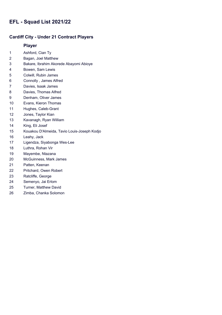#### **Cardiff City - Under 21 Contract Players**

- Ashford, Cian Ty
- Bagan, Joel Matthew
- Bakare, Ibrahim Akorede Abayomi Abioye
- Bowen, Sam Lewis
- Colwill, Rubin James
- Connolly , James Alfred
- Davies, Isaak James
- Davies, Thomas Alfred
- Denham, Oliver James
- Evans, Kieron Thomas
- Hughes, Caleb-Grant
- Jones, Taylor Kian
- Kavanagh, Ryan William
- King, Eli Josef
- Kouakou D'Almeida, Tavio Louis-Joseph Kodjo
- Leahy, Jack
- Ligendza, Siyabonga Wes-Lee
- Luthra, Rohan Vir
- Mayembe, Ntazana
- McGuinness, Mark James
- Patten, Keenan
- Pritchard, Owen Robert
- Ratcliffe, George
- Semenyo, Jai Erlom
- Turner, Matthew David
- Zimba, Chanka Solomon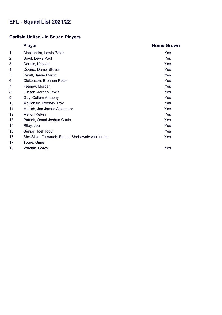### **Carlisle United - In Squad Players**

|                 | <b>Player</b>                                   | <b>Home Grown</b> |
|-----------------|-------------------------------------------------|-------------------|
| 1               | Alessandra, Lewis Peter                         | Yes               |
| $\overline{2}$  | Boyd, Lewis Paul                                | Yes               |
| 3               | Dennis, Kristian                                | Yes               |
| 4               | Devine, Daniel Steven                           | Yes               |
| 5               | Devitt, Jamie Martin                            | Yes               |
| 6               | Dickenson, Brennan Peter                        | Yes               |
| 7               | Feeney, Morgan                                  | Yes               |
| 8               | Gibson, Jordan Lewis                            | Yes               |
| 9               | Guy, Callum Anthony                             | Yes               |
| 10              | McDonald, Rodney Troy                           | Yes               |
| 11              | Mellish, Jon James Alexander                    | Yes               |
| 12 <sup>2</sup> | Mellor, Kelvin                                  | Yes               |
| 13              | Patrick, Omari Joshua Curtis                    | Yes               |
| 14              | Riley, Joe                                      | Yes               |
| 15              | Senior, Joel Toby                               | Yes               |
| 16              | Sho-Silva, Oluwatobi Fabian Shobowale Akintunde | Yes               |
| 17              | Toure, Gime                                     |                   |
| 18              | Whelan, Corey                                   | Yes               |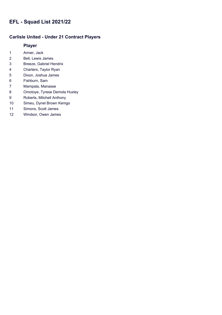#### **Carlisle United - Under 21 Contract Players**

- Armer, Jack
- Bell, Lewis James
- Breeze, Gabriel Hendrix
- Charters, Taylor Ryan
- Dixon, Joshua James
- Fishburn, Sam
- Mampala, Manasse
- Omotoye, Tyrese Demola Huxley
- Roberts, Mitchell Anthony
- Simeu, Dynel Brown Kemgo
- Simons, Scott James
- Windsor, Owen James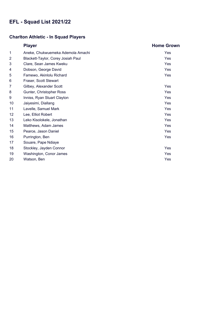### **Charlton Athletic - In Squad Players**

|                | <b>Player</b>                      | <b>Home Grown</b> |
|----------------|------------------------------------|-------------------|
| 1              | Aneke, Chukwuemeka Ademola Amachi  | Yes               |
| $\overline{2}$ | Blackett-Taylor, Corey Josiah Paul | Yes               |
| 3              | Clare, Sean James Kweku            | Yes               |
| 4              | Dobson, George David               | Yes               |
| 5              | Famewo, Akinlolu Richard           | Yes               |
| 6              | Fraser, Scott Stewart              |                   |
| 7              | Gilbey, Alexander Scott            | Yes               |
| 8              | Gunter, Christopher Ross           | Yes               |
| 9              | Inniss, Ryan Stuart Clayton        | Yes               |
| 10             | Jaiyesimi, Diallang                | Yes               |
| 11             | Lavelle, Samuel Mark               | Yes               |
| 12             | Lee, Elliot Robert                 | Yes               |
| 13             | Leko Kisolokele, Jonathan          | Yes               |
| 14             | Matthews, Adam James               | Yes               |
| 15             | Pearce, Jason Daniel               | Yes               |
| 16             | Purrington, Ben                    | Yes               |
| 17             | Souare, Pape Ndiaye                |                   |
| 18             | Stockley, Jayden Connor            | Yes               |
| 19             | Washington, Conor James            | Yes               |
| 20             | Watson, Ben                        | Yes               |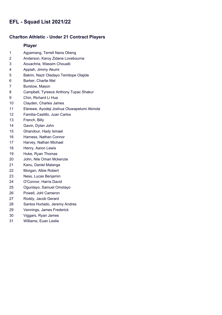#### **Charlton Athletic - Under 21 Contract Players**

- Agyemang, Terrell Nana Obeng
- Anderson, Karoy Zidane Lovebourne
- Aouachria, Wassim Chouaib
- Appiah, Jimmy Akumi
- Bakrin, Nazir Oladayo Temitope Olajide
- Barker, Charlie Mel
- Burstow, Mason
- Campbell, Tyreece Anthony Tupac Shakur
- Chin, Richard Li Hua
- Clayden, Charles James
- Elerewe, Ayodeji Joshua Oluwapelumi Akinola
- Familia-Castillo, Juan Carlos
- French, Billy
- Gavin, Dylan John
- Ghandour, Hady Ismael
- Harness, Nathan Connor
- Harvey, Nathan Michael
- Henry, Aaron Lewis
- Huke, Ryan Thomas
- John, Nile Omari Mckenzie
- Kanu, Daniel Malanga
- Morgan, Albie Robert
- Ness, Lucas Benjamin
- O'Connor, Harris David
- Oguntayo, Samuel Omotayo
- Powell, Johl Cameron
- Roddy, Jacob Gerard
- Santos Hurtado, Jeremy Andres
- Vennings, James Frederick
- Viggars, Ryan James
- Williams, Euan Leslie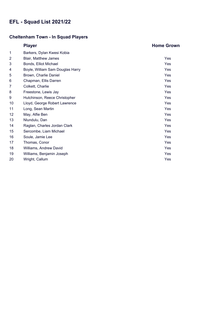# **Cheltenham Town - In Squad Players**

|                | <b>Player</b>                    | <b>Home Grown</b> |
|----------------|----------------------------------|-------------------|
| 1              | Barkers, Dylan Kwesi Kobia       |                   |
| $\overline{2}$ | <b>Blair, Matthew James</b>      | Yes               |
| 3              | Bonds, Elliot Michael            | Yes               |
| 4              | Boyle, William Sam Douglas Harry | Yes               |
| 5              | Brown, Charlie Daniel            | Yes               |
| 6              | Chapman, Ellis Darren            | Yes               |
| 7              | Colkett, Charlie                 | Yes               |
| 8              | Freestone, Lewis Jay             | Yes               |
| 9              | Hutchinson, Reece Christopher    | Yes               |
| 10             | Lloyd, George Robert Lawrence    | Yes               |
| 11             | Long, Sean Martin                | Yes               |
| 12             | May, Alfie Ben                   | Yes               |
| 13             | Nlundulu, Dan                    | Yes               |
| 14             | Raglan, Charles Jordan Clark     | Yes               |
| 15             | Sercombe, Liam Michael           | Yes               |
| 16             | Soule, Jamie Lee                 | Yes               |
| 17             | Thomas, Conor                    | Yes               |
| 18             | Williams, Andrew David           | Yes               |
| 19             | Williams, Benjamin Joseph        | Yes               |
| 20             | Wright, Callum                   | Yes               |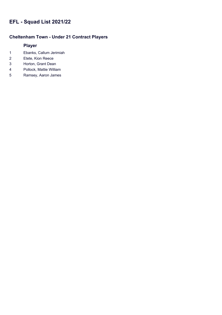# **Cheltenham Town - Under 21 Contract Players**

- Ebanks, Callum Jerimiah
- Etete, Kion Reece
- Horton, Grant Dean
- Pollock, Mattie William
- Ramsey, Aaron James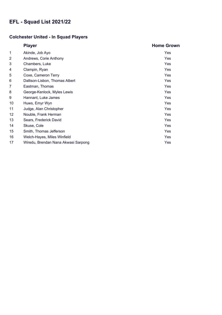## **Colchester United - In Squad Players**

|                | <b>Player</b>                       | <b>Home Grown</b> |
|----------------|-------------------------------------|-------------------|
| 1              | Akinde, Job Ayo                     | Yes               |
| $\overline{2}$ | Andrews, Corie Anthony              | Yes               |
| 3              | Chambers, Luke                      | Yes               |
| 4              | Clampin, Ryan                       | Yes               |
| 5              | Coxe, Cameron Terry                 | <b>Yes</b>        |
| 6              | Dallison-Lisbon, Thomas Albert      | Yes               |
| 7              | Eastman, Thomas                     | Yes               |
| 8              | George-Kenlock, Myles Lewis         | Yes               |
| 9              | Hannant, Luke James                 | Yes               |
| 10             | Huws, Emyr Wyn                      | Yes               |
| 11             | Judge, Alan Christopher             | Yes               |
| 12             | Nouble, Frank Herman                | Yes               |
| 13             | Sears, Frederick David              | Yes               |
| 14             | Skuse, Cole                         | Yes               |
| 15             | Smith, Thomas Jefferson             | <b>Yes</b>        |
| 16             | Welch-Hayes, Miles Winfield         | Yes               |
| 17             | Wiredu, Brendan Nana Akwasi Sarpong | Yes               |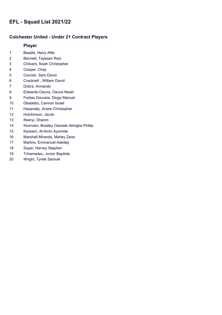### **Colchester United - Under 21 Contract Players**

- Beadle, Harry Alfie
- Bennett, Taykaan Reis
- Chilvers, Noah Christopher
- Cooper, Chay
- Cornish, Sam David
- Cracknell , William David
- Dobra, Armando
- Edwards-Owura, Owura Nsiah
- Freitas Gouveia, Diogo Manuel
- Gbadebo, Camron Israel
- Hasanally, Andre Christopher
- Hutchinson, Jacob
- Ifeanyi, Sharon
- Ihionvien, Bradley Osezele Akhigbe Phillip
- Kazeem, Al-Amin Ayomide
- Marshall Miranda, Marley Zane
- Martins, Emmanuel Adedeji
- Sayer, Harvey Stephen
- Tchamadeu, Junior Baptiste
- Wright, Tyreik Samuel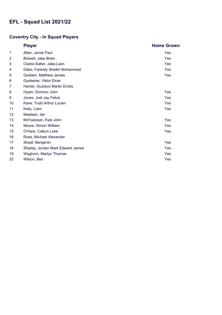## **Coventry City - In Squad Players**

|                | <b>Player</b>                     | <b>Home Grown</b> |
|----------------|-----------------------------------|-------------------|
| 1              | Allen, Jamie Paul                 | Yes               |
| $\overline{2}$ | Bidwell, Jake Brian               | Yes               |
| 3              | Clarke-Salter, Jake-Liam          | Yes               |
| 4              | Dabo, Fankaty Sheikh Mohammed     | Yes               |
| 5              | Godden, Matthew James             | Yes               |
| 6              | Gyokeres, Viktor Einar            |                   |
| 7              | Hamer, Gustavo Martin Emilio      |                   |
| 8              | Hyam, Dominic John                | Yes               |
| 9              | Jones, Jodi Jay Felice            | Yes               |
| 10             | Kane, Todd Arthur Lucien          | Yes               |
| 11             | Kelly, Liam                       | Yes               |
| 12             | Maatsen, lan                      |                   |
| 13             | McFadzean, Kyle John              | Yes               |
| 14             | Moore, Simon William              | Yes               |
| 15             | O'Hare, Callum Luke               | Yes               |
| 16             | Rose, Michael Alexander           |                   |
| 17             | Sheaf, Benjamin                   | Yes               |
| 18             | Shipley, Jordan Mark Edward James | Yes               |
| 19             | Waghorn, Martyn Thomas            | Yes               |
| 20             | Wilson, Ben                       | Yes               |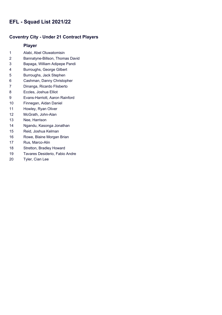### **Coventry City - Under 21 Contract Players**

- Alabi, Abel Oluwatomisin
- Bannatyne-Billson, Thomas David
- Bapaga, William Adipepe Pandi
- Burroughs, George Gilbert
- Burroughs, Jack Stephen
- Cashman, Danny Christopher
- Dinanga, Ricardo Flisberto
- Eccles, Joshua Elliot
- Evans-Harriott, Aaron Rainford
- Finnegan, Aidan Daniel
- Howley, Ryan Oliver
- McGrath, John-Alan
- Nee, Harrison
- Ngandu, Kasonga Jonathan
- Reid, Joshua Kelman
- Rowe, Blaine Morgan Brian
- Rus, Marco-Alin
- Stretton, Bradley Howard
- Tavares Desiderio, Fabio Andre
- Tyler, Cian Lee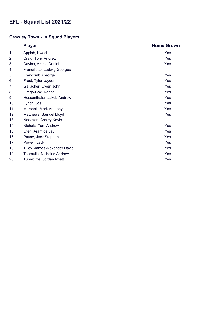## **Crawley Town - In Squad Players**

|                | <b>Player</b>                 | <b>Home Grown</b> |
|----------------|-------------------------------|-------------------|
| 1              | Appiah, Kwesi                 | Yes               |
| $\overline{2}$ | Craig, Tony Andrew            | Yes               |
| 3              | Davies, Archie Daniel         | Yes               |
| 4              | Francillette, Ludwig Georges  |                   |
| 5              | Francomb, George              | Yes               |
| 6              | Frost, Tyler Jayden           | Yes               |
| 7              | Gallacher, Owen John          | Yes               |
| 8              | Grego-Cox, Reece              | Yes               |
| 9              | Hessenthaler, Jakob Andrew    | Yes               |
| 10             | Lynch, Joel                   | Yes               |
| 11             | Marshall, Mark Anthony        | Yes               |
| 12             | Matthews, Samuel Lloyd        | Yes               |
| 13             | Nadesan, Ashley Kevin         |                   |
| 14             | Nichols, Tom Andrew           | Yes               |
| 15             | Oteh, Aramide Jay             | Yes               |
| 16             | Payne, Jack Stephen           | Yes               |
| 17             | Powell, Jack                  | Yes               |
| 18             | Tilley, James Alexander David | Yes               |
| 19             | Tsaroulla, Nicholas Andrew    | Yes               |
| 20             | Tunnicliffe, Jordan Rhett     | Yes               |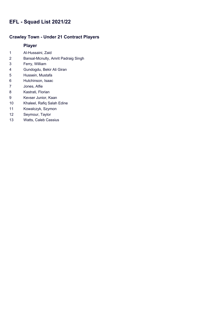### **Crawley Town - Under 21 Contract Players**

- Al-Hussaini, Zaid
- Bansal-Mcnulty, Amrit Padraig Singh
- Ferry, William
- Gundogdu, Bekir Ali Giran
- Hussein, Mustafa
- Hutchinson, Isaac
- Jones, Alfie
- Kastrati, Florian
- Kevser Junior, Kaan
- Khaleel, Rafiq Salah Edine
- Kowalczyk, Szymon
- Seymour, Taylor
- Watts, Caleb Cassius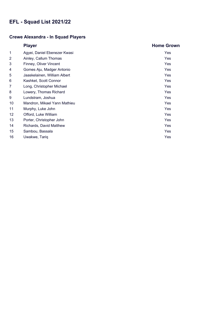## **Crewe Alexandra - In Squad Players**

|    | <b>Player</b>                | <b>Home Grown</b> |
|----|------------------------------|-------------------|
| 1  | Agyei, Daniel Ebenezer Kwasi | Yes               |
| 2  | Ainley, Callum Thomas        | <b>Yes</b>        |
| 3  | Finney, Oliver Vincent       | Yes               |
| 4  | Gomes Aju, Madger Antonio    | Yes               |
| 5  | Jaaskelainen, William Albert | <b>Yes</b>        |
| 6  | Kashket, Scott Connor        | Yes               |
| 7  | Long, Christopher Michael    | Yes               |
| 8  | Lowery, Thomas Richard       | Yes               |
| 9  | Lundstram, Joshua            | Yes               |
| 10 | Mandron, Mikael Yann Mathieu | Yes               |
| 11 | Murphy, Luke John            | Yes               |
| 12 | Offord, Luke William         | <b>Yes</b>        |
| 13 | Porter, Christopher John     | Yes               |
| 14 | Richards, David Matthew      | Yes               |
| 15 | Sambou, Bassala              | Yes               |
| 16 | Uwakwe, Tariq                | Yes               |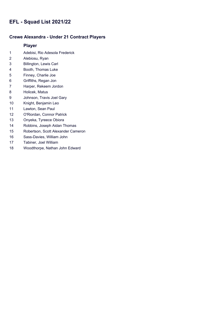### **Crewe Alexandra - Under 21 Contract Players**

- Adebisi, Rio Adesola Frederick
- Alebiosu, Ryan
- Billington, Lewis Carl
- Booth, Thomas Luke
- Finney, Charlie Joe
- Griffiths, Regan Jon
- Harper, Rekeem Jordon
- Holicek, Matus
- Johnson, Travis Joel Gary
- Knight, Benjamin Leo
- Lawton, Sean Paul
- O'Riordan, Connor Patrick
- Onyeka, Tyreece Obiora
- Robbins, Joseph Aidan Thomas
- Robertson, Scott Alexander Cameron
- Sass-Davies, William John
- Tabiner, Joel William
- Woodthorpe, Nathan John Edward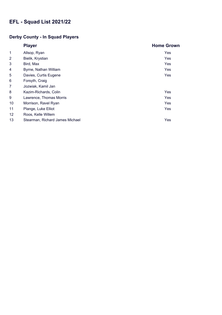## **Derby County - In Squad Players**

|    | <b>Player</b>                   | <b>Home Grown</b> |
|----|---------------------------------|-------------------|
| 1  | Allsop, Ryan                    | Yes               |
| 2  | Bielik, Krystian                | Yes               |
| 3  | Bird, Max                       | Yes               |
| 4  | Byrne, Nathan William           | Yes               |
| 5  | Davies, Curtis Eugene           | Yes               |
| 6  | Forsyth, Craig                  |                   |
| 7  | Jozwiak, Kamil Jan              |                   |
| 8  | Kazim-Richards, Colin           | Yes               |
| 9  | Lawrence, Thomas Morris         | Yes               |
| 10 | Morrison, Ravel Ryan            | Yes               |
| 11 | Plange, Luke Elliot             | Yes               |
| 12 | Roos, Kelle Willem              |                   |
| 13 | Stearman, Richard James Michael | Yes               |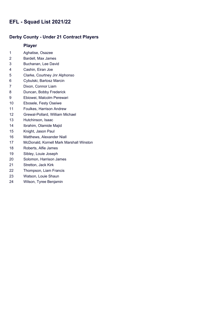#### **Derby County - Under 21 Contract Players**

- Aghatise, Osazee
- Bardell, Max James
- Buchanan, Lee David
- Cashin, Eiran Joe
- Clarke, Courtney Jnr Alphonso
- Cybulski, Bartosz Marcin
- Dixon, Connor Liam
- Duncan, Bobby Frederick
- Ebiowei, Malcolm Perewari
- Ebosele, Festy Oseiwe
- Foulkes, Harrison Andrew
- Grewal-Pollard, William Michael
- Hutchinson, Isaac
- Ibrahim, Olamide Majid
- Knight, Jason Paul
- Matthews, Alexander Niall
- McDonald, Kornell Mark Marshall Winston
- Roberts, Alfie James
- Sibley, Louie Joseph
- Solomon, Harrison James
- Stretton, Jack Kirk
- Thompson, Liam Francis
- Watson, Louie Shaun
- Wilson, Tyree Benjamin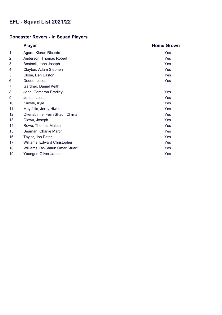## **Doncaster Rovers - In Squad Players**

|                 | <b>Player</b>                   | <b>Home Grown</b> |
|-----------------|---------------------------------|-------------------|
| 1               | Agard, Kieran Ricardo           | Yes               |
| 2               | Anderson, Thomas Robert         | Yes               |
| 3               | Bostock, John Joseph            | Yes               |
| 4               | Clayton, Adam Stephen           | Yes               |
| 5               | Close, Ben Easton               | Yes               |
| 6               | Dodoo, Joseph                   | Yes               |
| 7               | Gardner, Daniel Keith           |                   |
| 8               | John, Cameron Bradley           | Yes               |
| 9               | Jones, Louis                    | Yes               |
| 10              | Knoyle, Kyle                    | Yes               |
| 11              | Mayifuila, Jordy Hiwula         | Yes               |
| 12 <sub>2</sub> | Okenabirhie, Fejiri Shaun Chima | Yes               |
| 13              | Olowu, Joseph                   | Yes               |
| 14              | Rowe, Thomas Malcolm            | Yes               |
| 15              | Seaman, Charlie Martin          | Yes               |
| 16              | Taylor, Jon Peter               | Yes               |
| 17              | Williams, Edward Christopher    | Yes               |
| 18              | Williams, Ro-Shaun Omar Stuart  | Yes               |
| 19              | Younger, Oliver James           | Yes               |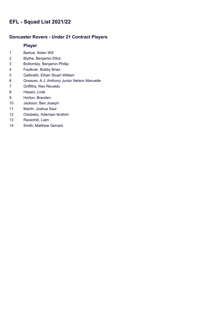### **Doncaster Rovers - Under 21 Contract Players**

- Barlow, Aidan Will
- Blythe, Benjamin Elliot
- Bottomley, Benjamin Phillip
- Faulkner, Bobby Brian
- Galbraith, Ethan Stuart William
- Greaves, A.J. Anthony Junior Nelson Manuelle
- Griffiths, Reo Revaldo
- Hasani, Lirak
- Horton, Branden
- Jackson, Ben Joseph
- Martin, Joshua Saul
- Odubeko, Ademipo Ibrahim
- Ravenhill, Liam
- Smith, Matthew Gerrard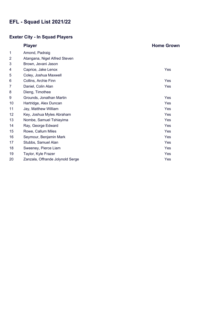## **Exeter City - In Squad Players**

|                | <b>Player</b>                    | <b>Home Grown</b> |
|----------------|----------------------------------|-------------------|
| 1              | Amond, Padraig                   |                   |
| $\overline{2}$ | Atangana, Nigel Alfred Steven    |                   |
| 3              | Brown, Jevani Jason              |                   |
| 4              | Caprice, Jake Lenox              | Yes               |
| 5              | Coley, Joshua Maxwell            |                   |
| 6              | Collins, Archie Finn             | Yes               |
| 7              | Daniel, Colin Alan               | Yes               |
| 8              | Dieng, Timothee                  |                   |
| 9              | Grounds, Jonathan Martin         | Yes               |
| 10             | Hartridge, Alex Duncan           | Yes               |
| 11             | Jay, Matthew William             | Yes               |
| 12             | Key, Joshua Myles Abraham        | Yes               |
| 13             | Nombe, Samuel Tshiayima          | Yes               |
| 14             | Ray, George Edward               | Yes               |
| 15             | Rowe, Callum Miles               | Yes               |
| 16             | Seymour, Benjamin Mark           | Yes               |
| 17             | Stubbs, Samuel Alan              | Yes               |
| 18             | Sweeney, Pierce Liam             | Yes               |
| 19             | Taylor, Kyle Frazer              | Yes               |
| 20             | Zanzala, Offrande Jolynold Serge | Yes               |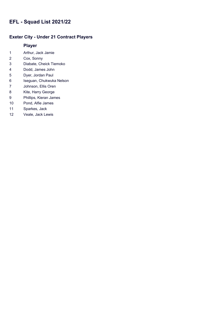### **Exeter City - Under 21 Contract Players**

- Arthur, Jack Jamie
- Cox, Sonny
- Diabate, Cheick Tiemoko
- Dodd, James John
- Dyer, Jordan Paul
- Iseguan, Chukwuka Nelson
- Johnson, Ellis Oren
- Kite, Harry George
- Phillips, Kieran James
- Pond, Alfie James
- Sparkes, Jack
- Veale, Jack Lewis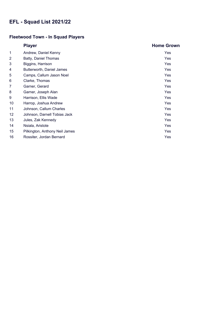## **Fleetwood Town - In Squad Players**

|                 | <b>Player</b>                  | <b>Home Grown</b> |
|-----------------|--------------------------------|-------------------|
| 1               | Andrew, Daniel Kenny           | Yes               |
| $\overline{2}$  | Batty, Daniel Thomas           | <b>Yes</b>        |
| 3               | Biggins, Harrison              | <b>Yes</b>        |
| 4               | Butterworth, Daniel James      | Yes               |
| 5               | Camps, Callum Jason Noel       | Yes               |
| 6               | Clarke, Thomas                 | Yes               |
| 7               | Garner, Gerard                 | Yes               |
| 8               | Garner, Joseph Alan            | Yes               |
| 9               | Harrison, Ellis Wade           | Yes               |
| 10              | Harrop, Joshua Andrew          | Yes               |
| 11              | Johnson, Callum Charles        | Yes               |
| 12 <sup>2</sup> | Johnson, Darnell Tobias Jack   | Yes               |
| 13              | Jules, Zak Kennedy             | Yes               |
| 14              | Nsiala, Aristote               | Yes               |
| 15              | Pilkington, Anthony Neil James | Yes               |
| 16              | Rossiter, Jordan Bernard       | Yes               |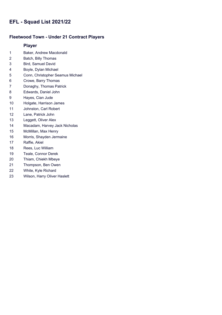### **Fleetwood Town - Under 21 Contract Players**

- Baker, Andrew Macdonald
- Batch, Billy Thomas
- Bird, Samuel David
- Boyle, Dylan Michael
- Conn, Christopher Seamus Michael
- Crowe, Barry Thomas
- Donaghy, Thomas Patrick
- Edwards, Daniel John
- Hayes, Cian Jude
- Holgate, Harrison James
- Johnston, Carl Robert
- Lane, Patrick John
- Leggett, Oliver Alex
- Macadam, Harvey Jack Nicholas
- McMillan, Max Henry
- Morris, Shayden Jermaine
- Raffie, Akiel
- Rees, Luc William
- Teale, Connor Derek
- Thiam, Chiekh Mbeye
- Thompson, Ben Owen
- White, Kyle Richard
- Wilson, Harry Oliver Haslett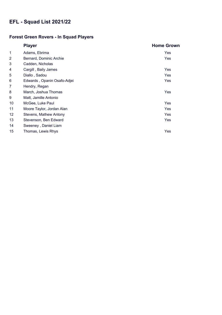## **Forest Green Rovers - In Squad Players**

|                | <b>Player</b>               | <b>Home Grown</b> |
|----------------|-----------------------------|-------------------|
| 1              | Adams, Ebrima               | Yes               |
| $\overline{2}$ | Bernard, Dominic Archie     | Yes               |
| 3              | Cadden, Nicholas            |                   |
| 4              | Cargill, Baily James        | Yes               |
| 5              | Diallo, Sadou               | Yes               |
| 6              | Edwards, Opanin Osafo-Adjei | Yes               |
| 7              | Hendry, Regan               |                   |
| 8              | March, Joshua Thomas        | Yes               |
| 9              | Matt, Jamille Antonio       |                   |
| 10             | McGee, Luke Paul            | Yes               |
| 11             | Moore Taylor, Jordan Alan   | Yes               |
| 12             | Stevens, Mathew Antony      | Yes               |
| 13             | Stevenson, Ben Edward       | Yes               |
| 14             | Sweeney, Daniel Liam        |                   |
| 15             | Thomas, Lewis Rhys          | Yes               |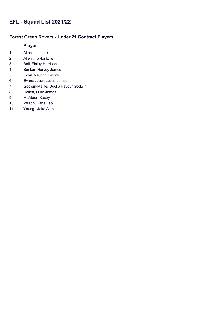### **Forest Green Rovers - Under 21 Contract Players**

- Aitchison, Jack
- Allen , Taylor Ellis
- Bell, Finley Harrison
- Bunker, Harvey James
- Covil, Vaughn Patrick
- Evans , Jack Lucas James
- Godwin-Malife, Udoka Favour Godwin
- Hallett, Luke James
- McAteer, Kasey
- Wilson, Kane Leo
- Young , Jake Alan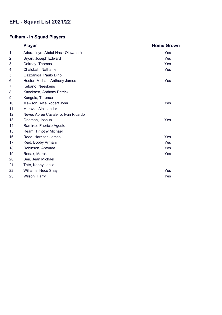## **Fulham - In Squad Players**

|                | <b>Player</b>                       | <b>Home Grown</b> |
|----------------|-------------------------------------|-------------------|
| 1              | Adarabioyo, Abdul-Nasir Oluwatosin  | Yes               |
| $\overline{2}$ | Bryan, Joseph Edward                | Yes               |
| 3              | Cairney, Thomas                     | Yes               |
| 4              | Chalobah, Nathaniel                 | Yes               |
| 5              | Gazzaniga, Paulo Dino               |                   |
| 6              | Hector, Michael Anthony James       | <b>Yes</b>        |
| 7              | Kebano, Neeskens                    |                   |
| 8              | Knockaert, Anthony Patrick          |                   |
| 9              | Kongolo, Terence                    |                   |
| 10             | Mawson, Alfie Robert John           | Yes               |
| 11             | Mitrovic, Aleksandar                |                   |
| 12             | Neves Abreu Cavaleiro, Ivan Ricardo |                   |
| 13             | Onomah, Joshua                      | Yes               |
| 14             | Ramirez, Fabricio Agosto            |                   |
| 15             | Ream, Timothy Michael               |                   |
| 16             | Reed, Harrison James                | Yes               |
| 17             | Reid, Bobby Armani                  | Yes               |
| 18             | Robinson, Antonee                   | Yes               |
| 19             | Rodak, Marek                        | Yes               |
| 20             | Seri, Jean Michael                  |                   |
| 21             | Tete, Kenny Joelle                  |                   |
| 22             | Williams, Neco Shay                 | Yes               |
| 23             | Wilson, Harry                       | Yes               |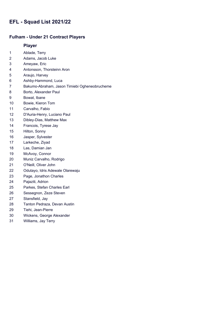#### **Fulham - Under 21 Contract Players**

- Ablade, Terry
- Adams, Jacob Luke
- Ameyaw, Eric
- Antonsson, Thorsteinn Aron
- Araujo, Harvey
- Ashby-Hammond, Luca
- Bakumo-Abraham, Jason Timiebi Ogheneobrucheme
- Borto, Alexander Paul
- Bowat, Ibane
- Bowie, Kieron Tom
- Carvalho, Fabio
- D'Auria-Henry, Luciano Paul
- Dibley-Dias, Matthew Max
- Francois, Tyrese Jay
- Hilton, Sonny
- Jasper, Sylvester
- Larkeche, Ziyad
- Las, Damian Jan
- McAvoy, Connor
- Muniz Carvalho, Rodrigo
- O'Neill, Oliver John
- Odutayo, Idris Adewale Olarewaju
- Page, Jonathon Charles
- Pajaziti, Adrion
- Parkes, Stefan Charles Earl
- Sessegnon, Zeze Steven
- Stansfield, Jay
- Tanton Pedraza, Devan Austin
- Tiehi, Jean-Pierre
- Wickens, George Alexander
- Williams, Jay Terry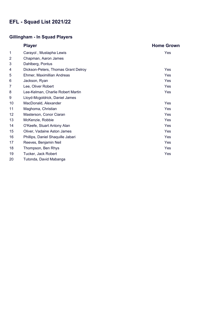## **Gillingham - In Squad Players**

|    | <b>Player</b>                       | <b>Home Grown</b> |
|----|-------------------------------------|-------------------|
| 1  | Carayol, Mustapha Lewis             | Yes               |
| 2  | Chapman, Aaron James                |                   |
| 3  | Dahlberg, Pontus                    |                   |
| 4  | Dickson-Peters, Thomas Grant Delroy | Yes               |
| 5  | Ehmer, Maximillian Andreas          | Yes               |
| 6  | Jackson, Ryan                       | Yes               |
| 7  | Lee, Oliver Robert                  | Yes               |
| 8  | Lee-Kelman, Charlie Robert Martin   | Yes               |
| 9  | Lloyd-Mcgoldrick, Daniel James      |                   |
| 10 | MacDonald, Alexander                | Yes               |
| 11 | Maghoma, Christian                  | Yes               |
| 12 | Masterson, Conor Ciaran             | Yes               |
| 13 | McKenzie, Robbie                    | Yes               |
| 14 | O'Keefe, Stuart Antony Alan         | Yes               |
| 15 | Oliver, Vadaine Aston James         | Yes               |
| 16 | Phillips, Daniel Shaquille Jabari   | Yes               |
| 17 | Reeves, Benjamin Neil               | Yes               |
| 18 | Thompson, Ben Rhys                  | Yes               |
| 19 | Tucker, Jack Robert                 | Yes               |
| 20 | Tutonda, David Mabanga              |                   |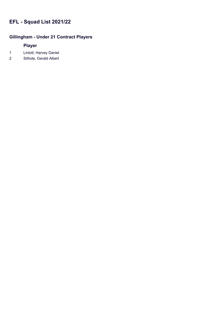## **Gillingham - Under 21 Contract Players**

- 1 Lintott, Harvey Daniel
- 2 Sithole, Gerald Albert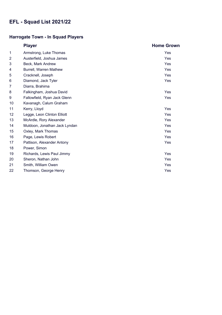## **Harrogate Town - In Squad Players**

|                | <b>Player</b>                 | <b>Home Grown</b> |
|----------------|-------------------------------|-------------------|
| 1              | Armstrong, Luke Thomas        | Yes               |
| $\overline{2}$ | Austerfield, Joshua James     | <b>Yes</b>        |
| 3              | Beck, Mark Andrew             | Yes               |
| 4              | Burrell, Warren Mathew        | Yes               |
| 5              | Cracknell, Joseph             | Yes               |
| 6              | Diamond, Jack Tyler           | Yes               |
| 7              | Diarra, Brahima               |                   |
| 8              | Falkingham, Joshua David      | Yes               |
| 9              | Fallowfield, Ryan Jack Glenn  | Yes               |
| 10             | Kavanagh, Calum Graham        |                   |
| 11             | Kerry, Lloyd                  | Yes               |
| 12             | Legge, Leon Clinton Elliott   | Yes               |
| 13             | McArdle, Rory Alexander       | Yes               |
| 14             | Muldoon, Jonathan Jack Lyndan | Yes               |
| 15             | Oxley, Mark Thomas            | Yes               |
| 16             | Page, Lewis Robert            | Yes               |
| 17             | Pattison, Alexander Antony    | Yes               |
| 18             | Power, Simon                  |                   |
| 19             | Richards, Lewis Paul Jimmy    | Yes               |
| 20             | Sheron, Nathan John           | Yes               |
| 21             | Smith, William Owen           | Yes               |
| 22             | Thomson, George Henry         | Yes               |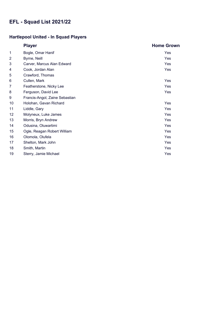# **Hartlepool United - In Squad Players**

|                | <b>Player</b>                  | <b>Home Grown</b> |
|----------------|--------------------------------|-------------------|
| 1              | Bogle, Omar Hanif              | Yes               |
| $\overline{2}$ | Byrne, Neill                   | Yes               |
| 3              | Carver, Marcus Alan Edward     | Yes               |
| 4              | Cook, Jordan Alan              | Yes               |
| 5              | Crawford, Thomas               |                   |
| 6              | Cullen, Mark                   | Yes               |
| 7              | Featherstone, Nicky Lee        | Yes               |
| 8              | Ferguson, David Lee            | Yes               |
| 9              | Francis-Angol, Zaine Sebastian |                   |
| 10             | Holohan, Gavan Richard         | Yes               |
| 11             | Liddle, Gary                   | Yes               |
| 12             | Molyneux, Luke James           | Yes               |
| 13             | Morris, Bryn Andrew            | Yes               |
| 14             | Odusina, Oluwartimi            | Yes               |
| 15             | Ogle, Reagan Robert William    | Yes               |
| 16             | Olomola, Olufela               | Yes               |
| 17             | Shelton, Mark John             | Yes               |
| 18             | Smith, Martin                  | Yes               |
| 19             | Sterry, Jamie Michael          | Yes               |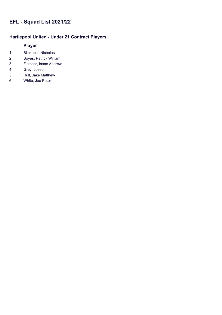### **Hartlepool United - Under 21 Contract Players**

- Bilokapic, Nicholas
- Boyes, Patrick William
- Fletcher, Isaac Andrew
- Grey, Joseph
- Hull, Jake Matthew
- White, Joe Peter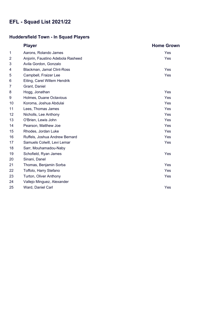## **Huddersfield Town - In Squad Players**

|    | <b>Player</b>                     | <b>Home Grown</b> |
|----|-----------------------------------|-------------------|
| 1  | Aarons, Rolando James             | Yes               |
| 2  | Anjorin, Faustino Adebola Rasheed | Yes               |
| 3  | Avila Gordon, Gonzalo             |                   |
| 4  | Blackman, Jamal Clint-Ross        | <b>Yes</b>        |
| 5  | Campbell, Fraizer Lee             | Yes               |
| 6  | Eiting, Carel Willem Hendrik      |                   |
| 7  | Grant, Daniel                     |                   |
| 8  | Hogg, Jonathan                    | Yes               |
| 9  | Holmes, Duane Octavious           | <b>Yes</b>        |
| 10 | Koroma, Joshua Abdulai            | Yes               |
| 11 | Lees, Thomas James                | Yes               |
| 12 | Nicholls, Lee Anthony             | Yes               |
| 13 | O'Brien, Lewis John               | Yes               |
| 14 | Pearson, Matthew Joe              | Yes               |
| 15 | Rhodes, Jordan Luke               | Yes               |
| 16 | Ruffels, Joshua Andrew Bernard    | Yes               |
| 17 | Samuels Colwill, Levi Lemar       | Yes               |
| 18 | Sarr, Mouhamadou-Naby             |                   |
| 19 | Schofield, Ryan James             | Yes               |
| 20 | Sinani, Danel                     |                   |
| 21 | Thomas, Benjamin Sorba            | Yes               |
| 22 | Toffolo, Harry Stefano            | Yes               |
| 23 | Turton, Oliver Anthony            | Yes               |
| 24 | Vallejo Minguez, Alexander        |                   |
| 25 | Ward, Daniel Carl                 | Yes               |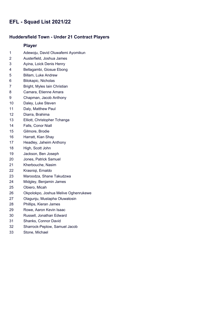#### **Huddersfield Town - Under 21 Contract Players**

- Adewoju, David Oluwafemi Ayomikun
- Austerfield, Joshua James
- Ayina, Loick Denis Henry
- Bellagambi, Giosue Ebong
- Billam, Luke Andrew
- Bilokapic, Nicholas
- Bright, Myles Iain Christian
- Camara, Etienne Amara
- Chapman, Jacob Anthony
- Daley, Luke Steven
- Daly, Matthew Paul
- Diarra, Brahima
- Elliott, Christopher Tchanga
- Falls, Conor Niall
- Gilmore, Brodie
- Harratt, Kian Shay
- Headley, Jaheim Anthony
- High, Scott John
- Jackson, Ben Joseph
- Jones, Patrick Samuel
- Kherbouche, Nasim
- Krasniqi, Ernaldo
- Maroodza, Shane Takudzwa
- Midgley, Benjamin James
- Obiero, Micah
- Okpolokpo, Joshua Melive Oghenrukewe
- Olagunju, Mustapha Oluwatosin
- Phillips, Kieran James
- Rowe, Aaron Kevin Isaac
- Russell, Jonathan Edward
- Shanks, Connor David
- Sharrock-Peplow, Samuel Jacob
- Stone, Michael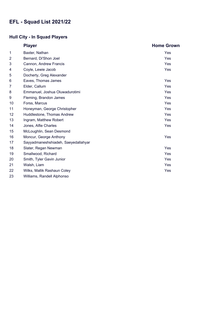## **Hull City - In Squad Players**

|                 | <b>Player</b>                       | <b>Home Grown</b> |
|-----------------|-------------------------------------|-------------------|
| 1               | Baxter, Nathan                      | Yes               |
| 2               | Bernard, Di'Shon Joel               | <b>Yes</b>        |
| 3               | Cannon, Andrew Francis              | Yes               |
| 4               | Coyle, Lewie Jacob                  | <b>Yes</b>        |
| 5               | Docherty, Greg Alexander            |                   |
| 6               | Eaves, Thomas James                 | Yes               |
| 7               | Elder, Callum                       | Yes               |
| 8               | Emmanuel, Joshua Oluwadurotimi      | Yes               |
| 9               | Fleming, Brandon James              | Yes               |
| 10              | Forss, Marcus                       | Yes               |
| 11              | Honeyman, George Christopher        | Yes               |
| 12 <sub>2</sub> | Huddlestone, Thomas Andrew          | Yes               |
| 13              | Ingram, Matthew Robert              | Yes               |
| 14              | Jones, Alfie Charles                | Yes               |
| 15              | McLoughlin, Sean Desmond            |                   |
| 16              | Moncur, George Anthony              | Yes               |
| 17              | Sayyadmaneshshiadeh, Saeyedallahyar |                   |
| 18              | Slater, Regan Newman                | <b>Yes</b>        |
| 19              | Smallwood, Richard                  | Yes               |
| 20              | Smith, Tyler Gavin Junior           | Yes               |
| 21              | Walsh, Liam                         | Yes               |
| 22              | Wilks, Mallik Rashaun Coley         | Yes               |
| 23              | Williams, Randell Alphonso          |                   |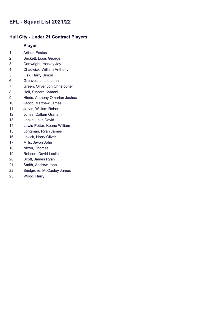### **Hull City - Under 21 Contract Players**

- Arthur, Festus
- Beckett, Louis George
- Cartwright, Harvey Jay
- Chadwick, William Anthony
- Fisk, Harry Simon
- Greaves, Jacob John
- Green, Oliver Jon Christopher
- Hall, Sincere Kymani
- Hinds, Anthony Omarian Joshua
- Jacob, Matthew James
- Jarvis, William Robert
- Jones, Callum Graham
- Leake, Jake David
- Lewis-Potter, Keane William
- Longman, Ryan James
- Lovick, Harry Oliver
- Mills, Jevon John
- Nixon, Thomas
- Robson, David Leslie
- Scott, James Ryan
- Smith, Andrew John
- Snelgrove, McCauley James
- Wood, Harry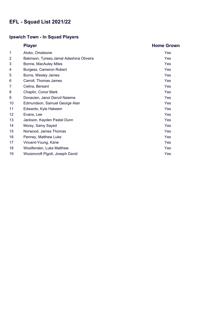## **Ipswich Town - In Squad Players**

|    | <b>Player</b>                            | <b>Home Grown</b> |
|----|------------------------------------------|-------------------|
| 1  | Aluko, Omatsone                          | Yes               |
| 2  | Bakinson, Tyreeq Jamal Adeshina Oliveira | Yes               |
| 3  | Bonne, MacAuley Miles                    | Yes               |
| 4  | Burgess, Cameron Robert                  | Yes               |
| 5  | Burns, Wesley James                      | Yes               |
| 6  | Carroll, Thomas James                    | Yes               |
| 7  | Celina, Bersant                          | Yes               |
| 8  | Chaplin, Conor Mark                      | Yes               |
| 9  | Donacien, Janoi Denzil Naieme            | Yes               |
| 10 | Edmundson, Samuel George Alan            | Yes               |
| 11 | Edwards, Kyle Hakeem                     | Yes               |
| 12 | Evans, Lee                               | Yes               |
| 13 | Jackson, Kayden Pastel Dunn              | Yes               |
| 14 | Morsy, Samy Sayed                        | Yes               |
| 15 | Norwood, James Thomas                    | Yes               |
| 16 | Penney, Matthew Luke                     | Yes               |
| 17 | Vincent-Young, Kane                      | Yes               |
| 18 | Woolfenden, Luke Matthew                 | Yes               |
| 19 | Wozencroft Pigott, Joseph David          | Yes               |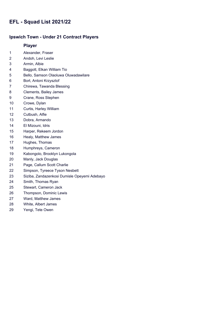#### **Ipswich Town - Under 21 Contract Players**

- Alexander, Fraser
- Andoh, Levi Leslie
- Armin, Albie
- Baggott, Elkan William Tio
- Bello, Samson Olaoluwa Oluwadawilare
- Bort, Antoni Krzysztof
- Chirewa, Tawanda Blessing
- Clements, Bailey James
- Crane, Ross Stephen
- Crowe, Dylan
- Curtis, Harley William
- Cutbush, Alfie
- Dobra, Armando
- El Mizouni, Idris
- Harper, Rekeem Jordon
- Healy, Matthew James
- Hughes, Thomas
- Humphreys, Cameron
- Kabongolo, Brooklyn Lukongola
- Manly, Jack Douglas
- Page, Callum Scott Charlie
- Simpson, Tyreece Tyson Nesbett
- Siziba, Zandazenkosi Dumisle Opeyemi Adebayo
- Smith, Thomas Ryan
- Stewart, Cameron Jack
- Thompson, Dominic Lewis
- Ward, Matthew James
- White, Albert James
- Yengi, Tete Owen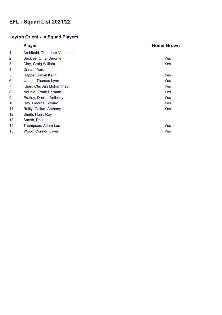## **Leyton Orient - In Squad Players**

|                 | <b>Player</b>                 | <b>Home Grown</b> |
|-----------------|-------------------------------|-------------------|
| 1               | Archibald, Theodore Valentine |                   |
| 2               | Beckles, Omar Jerome          | Yes               |
| 3               | Clay, Craig William           | Yes               |
| 4               | Drinan, Aaron                 |                   |
| 5               | Happe, Daniel Keith           | Yes               |
| 6               | James, Thomas Lynn            | <b>Yes</b>        |
| 7               | Khan, Otis Jan Mohammed       | Yes               |
| 8               | Nouble, Frank Herman          | Yes               |
| 9               | Pratley, Darren Anthony       | Yes               |
| 10              | Ray, George Edward            | Yes               |
| 11              | Reilly, Callum Anthony        | Yes               |
| 12 <sub>2</sub> | Smith, Harry Roy              |                   |
| 13              | Smyth, Paul                   |                   |
| 14              | Thompson, Adam Lee            | Yes               |
| 15              | Wood, Connor Oliver           | Yes               |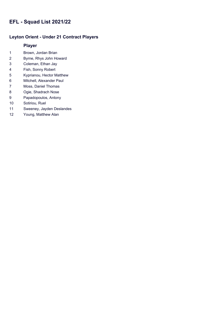### **Leyton Orient - Under 21 Contract Players**

- Brown, Jordan Brian
- Byrne, Rhys John Howard
- Coleman, Ethan Jay
- Fish, Sonny Robert
- Kyprianou, Hector Matthew
- Mitchell, Alexander Paul
- Moss, Daniel Thomas
- Ogie, Shadrach Nose
- Papadopoulos, Antony
- Sotiriou, Ruel
- Sweeney, Jayden Deslandes
- Young, Matthew Alan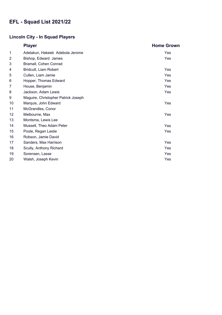## **Lincoln City - In Squad Players**

|                | <b>Player</b>                       | <b>Home Grown</b> |
|----------------|-------------------------------------|-------------------|
| 1              | Adelakun, Hakeeb Adebola Jerome     | Yes               |
| $\overline{2}$ | Bishop, Edward James                | Yes               |
| 3              | Bramall, Cohen Conrad               |                   |
| 4              | Bridcutt, Liam Robert               | Yes               |
| 5              | Cullen, Liam Jamie                  | Yes               |
| 6              | Hopper, Thomas Edward               | Yes               |
| 7              | House, Benjamin                     | Yes               |
| 8              | Jackson, Adam Lewis                 | Yes               |
| 9              | Maguire, Christopher Patrick Joseph |                   |
| 10             | Marquis, John Edward                | Yes               |
| 11             | McGrandles, Conor                   |                   |
| 12             | Melbourne, Max                      | Yes               |
| 13             | Montsma, Lewis Lee                  |                   |
| 14             | Mussell, Theo Adam Peter            | Yes               |
| 15             | Poole, Regan Leslie                 | Yes               |
| 16             | Robson, Jamie David                 |                   |
| 17             | Sanders, Max Harrison               | Yes               |
| 18             | Scully, Anthony Richard             | <b>Yes</b>        |
| 19             | Sorensen, Lasse                     | Yes               |
| 20             | Walsh, Joseph Kevin                 | Yes               |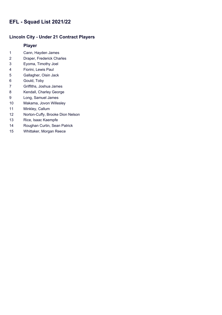### **Lincoln City - Under 21 Contract Players**

- Cann, Hayden James
- Draper, Frederick Charles
- Eyoma, Timothy Joel
- Fiorini, Lewis Paul
- Gallagher, Oisin Jack
- Gould, Toby
- Griffiths, Joshua James
- Kendall, Charley George
- Long, Samuel James
- Makama, Jovon Willesley
- Minkley, Callum
- Norton-Cuffy, Brooke Dion Nelson
- Rice, Isaac Kaempfe
- Roughan Curtin, Sean Patrick
- Whittaker, Morgan Reece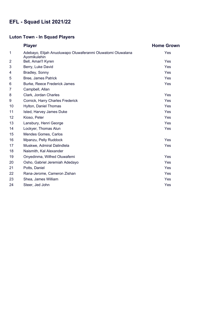# **Luton Town - In Squad Players**

|    | <b>Player</b>                                                               | <b>Home Grown</b> |
|----|-----------------------------------------------------------------------------|-------------------|
| 1  | Adebayo, Elijah Anuoluwapo Oluwaferanmi Oluwatomi Oluwalana<br>Ayomikulehin | Yes               |
| 2  | Bell, Amari'l Kyren                                                         | Yes               |
| 3  | Berry, Luke David                                                           | <b>Yes</b>        |
| 4  | Bradley, Sonny                                                              | Yes               |
| 5  | <b>Bree, James Patrick</b>                                                  | Yes               |
| 6  | Burke, Reece Frederick James                                                | Yes               |
| 7  | Campbell, Allan                                                             |                   |
| 8  | Clark, Jordan Charles                                                       | Yes               |
| 9  | Cornick, Harry Charles Frederick                                            | <b>Yes</b>        |
| 10 | Hylton, Daniel Thomas                                                       | <b>Yes</b>        |
| 11 | Isted, Harvey James Duke                                                    | Yes               |
| 12 | Kioso, Peter                                                                | Yes               |
| 13 | Lansbury, Henri George                                                      | Yes               |
| 14 | Lockyer, Thomas Alun                                                        | <b>Yes</b>        |
| 15 | Mendes Gomes, Carlos                                                        |                   |
| 16 | Mpanzu, Pelly Ruddock                                                       | Yes               |
| 17 | Muskwe, Admiral Dalindlela                                                  | Yes               |
| 18 | Naismith, Kal Alexander                                                     |                   |
| 19 | Onyedinma, Wilfred Oluwafemi                                                | Yes               |
| 20 | Osho, Gabriel Jeremiah Adedayo                                              | Yes               |
| 21 | Potts, Daniel                                                               | Yes               |
| 22 | Rana-Jerome, Cameron Zishan                                                 | <b>Yes</b>        |
| 23 | Shea, James William                                                         | Yes               |
| 24 | Steer, Jed John                                                             | Yes               |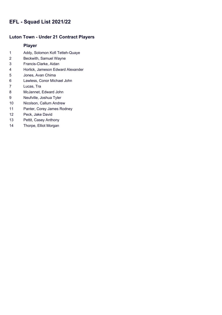### **Luton Town - Under 21 Contract Players**

- Addy, Solomon Kofi Tetteh-Quaye
- Beckwith, Samuel Wayne
- Francis-Clarke, Aidan
- Horlick, Jameson Edward Alexander
- Jones, Avan Chima
- Lawless, Conor Michael John
- Lucas, Tra
- McJannet, Edward John
- Neufville, Joshua Tyler
- Nicolson, Callum Andrew
- Panter, Corey James Rodney
- Peck, Jake David
- Pettit, Casey Anthony
- Thorpe, Elliot Morgan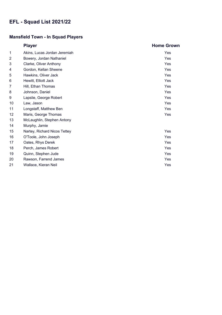# **Mansfield Town - In Squad Players**

|                 | <b>Player</b>                | <b>Home Grown</b> |
|-----------------|------------------------------|-------------------|
| 1               | Akins, Lucas Jordan Jeremiah | Yes               |
| $\overline{2}$  | Bowery, Jordan Nathaniel     | Yes               |
| 3               | Clarke, Oliver Anthony       | Yes               |
| 4               | Gordon, Kellan Sheene        | Yes               |
| 5               | Hawkins, Oliver Jack         | Yes               |
| 6               | Hewitt, Elliott Jack         | Yes               |
| 7               | Hill, Ethan Thomas           | Yes               |
| 8               | Johnson, Daniel              | Yes               |
| 9               | Lapslie, George Robert       | Yes               |
| 10              | Law, Jason                   | Yes               |
| 11              | Longstaff, Matthew Ben       | Yes               |
| 12 <sup>2</sup> | Maris, George Thomas         | Yes               |
| 13              | McLaughlin, Stephen Antony   |                   |
| 14              | Murphy, Jamie                |                   |
| 15              | Nartey, Richard Nicos Tettey | Yes               |
| 16              | O'Toole, John Joseph         | Yes               |
| 17              | Oates, Rhys Derek            | Yes               |
| 18              | Perch, James Robert          | Yes               |
| 19              | Quinn, Stephen Jude          | Yes               |
| 20              | Rawson, Farrend James        | Yes               |
| 21              | Wallace, Kieran Neil         | Yes               |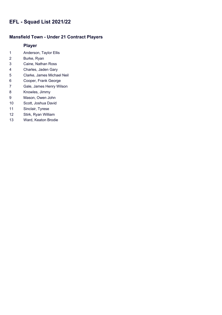### **Mansfield Town - Under 21 Contract Players**

- Anderson, Taylor Ellis
- Burke, Ryan
- Caine, Nathan Ross
- Charles, Jaden Gary
- Clarke, James Michael Neil
- Cooper, Frank George
- Gale, James Henry Wilson
- Knowles, Jimmy
- Mason, Owen John
- Scott, Joshua David
- Sinclair, Tyrese
- Stirk, Ryan William
- Ward, Keaton Brodie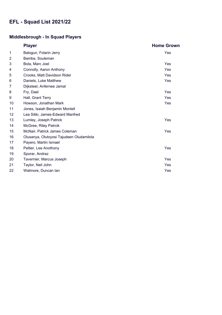# **Middlesbrough - In Squad Players**

|                | <b>Player</b>                            | <b>Home Grown</b> |
|----------------|------------------------------------------|-------------------|
| 1              | Balogun, Folarin Jerry                   | Yes               |
| $\overline{2}$ | Bamba, Souleman                          |                   |
| 3              | Bola, Marc Joel                          | Yes               |
| 4              | Connolly, Aaron Anthony                  | Yes               |
| 5              | Crooks, Matt Davidson Rider              | Yes               |
| 6              | Daniels, Luke Matthew                    | <b>Yes</b>        |
| 7              | Dijksteel, Anfernee Jamal                |                   |
| 8              | Fry, Dael                                | <b>Yes</b>        |
| 9              | Hall, Grant Terry                        | Yes               |
| 10             | Howson, Jonathan Mark                    | Yes               |
| 11             | Jones, Isaiah Benjamin Montell           |                   |
| 12             | Lea Siliki, James-Edward Manfred         |                   |
| 13             | Lumley, Joseph Patrick                   | Yes               |
| 14             | McGree, Riley Patrcik                    |                   |
| 15             | McNair, Patrick James Coleman            | Yes               |
| 16             | Olusanya, Olutoyosi Tajudeen Oludamilola |                   |
| 17             | Payero, Martin Ismael                    |                   |
| 18             | Peltier, Lee Anothony                    | Yes               |
| 19             | Sporar, Andraz                           |                   |
| 20             | Tavernier, Marcus Joseph                 | Yes               |
| 21             | Taylor, Neil John                        | Yes               |
| 22             | Watmore, Duncan lan                      | Yes               |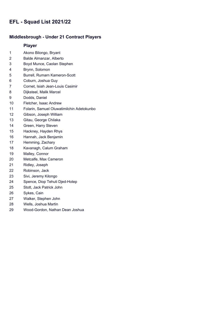#### **Middlesbrough - Under 21 Contract Players**

- Akono Bilongo, Bryant
- Balde Almanzar, Alberto
- Boyd Munce, Caolan Stephen
- Brynn, Solomon
- Burrell, Rumarn Kameron-Scott
- Coburn, Joshua Guy
- Cornet, Isiah Jean-Louis Casimir
- Dijksteel, Malik Marcel
- Dodds, Daniel
- Fletcher, Isaac Andrew
- Folarin, Samuel Oluwatimilchin Adetokunbo
- Gibson, Joseph William
- Gitau, George Chilaka
- Green, Harry Steven
- Hackney, Hayden Rhys
- Hannah, Jack Benjamin
- Hemming, Zachary
- Kavanagh, Calum Graham
- Malley, Connor
- Metcalfe, Max Cameron
- Ridley, Joseph
- Robinson, Jack
- Sivi, Jeremy Kilongo
- Spence, Diop Tehuti Djed-Hotep
- Stott, Jack Patrick John
- Sykes, Cain
- Walker, Stephen John
- Wells, Joshua Martin
- Wood-Gordon, Nathan Dean Joshua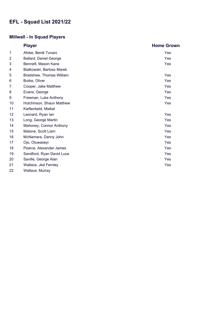### **Millwall - In Squad Players**

|                | <b>Player</b>                 | <b>Home Grown</b> |
|----------------|-------------------------------|-------------------|
| 1              | Afobe, Benik Tunani           | Yes               |
| $\overline{2}$ | <b>Ballard, Daniel George</b> | <b>Yes</b>        |
| 3              | Bennett, Mason Kane           | <b>Yes</b>        |
| 4              | Bialkowski, Bartosz Marek     |                   |
| 5              | Bradshaw, Thomas William      | <b>Yes</b>        |
| 6              | Burke, Oliver                 | Yes               |
| 7              | Cooper, Jake Matthew          | Yes               |
| 8              | Evans, George                 | Yes               |
| 9              | Freeman, Luke Anthony         | Yes               |
| 10             | Hutchinson, Shaun Matthew     | Yes               |
| 11             | Kieftenbeld, Maikel           |                   |
| 12             | Leonard, Ryan lan             | Yes               |
| 13             | Long, George Martin           | Yes               |
| 14             | Mahoney, Connor Anthony       | Yes               |
| 15             | Malone, Scott Liam            | Yes               |
| 16             | McNamara, Danny John          | Yes               |
| 17             | Ojo, Oluwaseyi                | Yes               |
| 18             | Pearce, Alexander James       | Yes               |
| 19             | Sandford, Ryan David Luca     | Yes               |
| 20             | Saville, George Alan          | Yes               |
| 21             | Wallace, Jed Fernley          | Yes               |
| 22             | Wallace, Murray               |                   |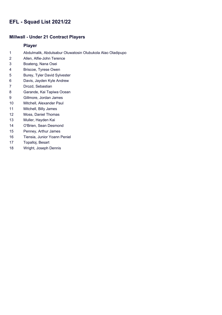### **Millwall - Under 21 Contract Players**

- Abdulmalik, Abdulsabur Oluwatosin Olubukola Alao Oladipupo
- Allen, Alfie-John Terence
- Boateng, Nana Osei
- Briscoe, Tyrese Owen
- Burey, Tyler David Sylvester
- Davis, Jayden Kyle Andrew
- Drozd, Sebastian
- Garande, Kai Tapiwa Ocean
- Gillmore, Jordan James
- Mitchell, Alexander Paul
- Mitchell, Billy James
- Moss, Daniel Thomas
- Muller, Hayden Kai
- O'Brien, Sean Desmond
- Penney, Arthur James
- Tiensia, Junior Yoann Peniel
- Topalloj, Besart
- Wright, Joseph Dennis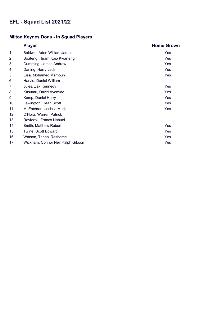### **Milton Keynes Dons - In Squad Players**

|                 | <b>Player</b>                     | <b>Home Grown</b> |
|-----------------|-----------------------------------|-------------------|
| 1               | Baldwin, Aden William James       | Yes               |
| $\overline{2}$  | Boateng, Hiram Kojo Kwarteng      | Yes               |
| 3               | Cumming, James Andrew             | Yes               |
| 4               | Darling, Harry Jack               | Yes               |
| 5               | Eisa, Mohamed Mamoun              | Yes               |
| 6               | Harvie, Daniel William            |                   |
| 7               | Jules, Zak Kennedy                | Yes               |
| 8               | Kasumu, David Ayomide             | Yes               |
| 9               | Kemp, Daniel Harry                | Yes               |
| 10              | Lewington, Dean Scott             | Yes               |
| 11              | McEachran, Joshua Mark            | Yes               |
| 12 <sup>2</sup> | O'Hora, Warren Patrick            |                   |
| 13              | Ravizzoli, Franco Nahuel          |                   |
| 14              | Smith, Matthew Robert             | Yes               |
| 15              | Twine, Scott Edward               | Yes               |
| 16              | Watson, Tennai Rosharne           | Yes               |
| 17              | Wickham, Connor Neil Ralph Gibson | Yes               |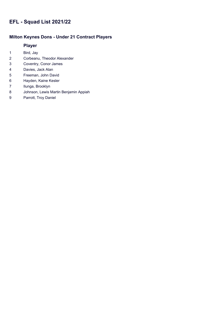### **Milton Keynes Dons - Under 21 Contract Players**

- Bird, Jay
- Corbeanu, Theodor Alexander
- Coventry, Conor James
- Davies, Jack Alan
- Freeman, John David
- Hayden, Kaine Kesler
- Ilunga, Brooklyn
- Johnson, Lewis Martin Benjamin Appiah
- Parrott, Troy Daniel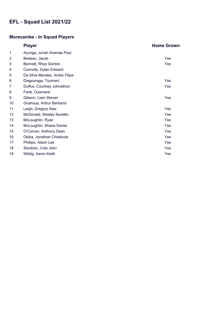# **Morecambe - In Squad Players**

|                 | <b>Player</b>                 | <b>Home Grown</b> |
|-----------------|-------------------------------|-------------------|
| 1               | Ayunga, Jonah Ananias Paul    |                   |
| $\overline{2}$  | Bedeau, Jacob                 | Yes               |
| 3               | Bennett, Rhys Gordon          | Yes               |
| 4               | Connolly, Dylan Edward        |                   |
| 5               | Da Silva Mendes, Andre Filipe |                   |
| 6               | Diagouraga, Toumani           | Yes               |
| 7               | Duffus, Courtney Johnathon    | Yes               |
| 8               | Fané, Ousmane                 |                   |
| 9               | Gibson, Liam Steven           | Yes               |
| 10              | Gnahoua, Arthur Bertrand      |                   |
| 11              | Leigh, Gregory Alex           | Yes               |
| 12 <sup>2</sup> | McDonald, Wesley Nurettin     | Yes               |
| 13              | McLaughlin, Ryan              | Yes               |
| 14              | McLoughlin, Shane Daniel      | Yes               |
| 15              | O'Connor, Anthony Dean        | Yes               |
| 16              | Obika, Jonathan Chiedozie     | Yes               |
| 17              | Phillips, Adam Lee            | Yes               |
| 18              | Stockton, Cole John           | Yes               |
| 19              | Wildig, Aaron Keith           | Yes               |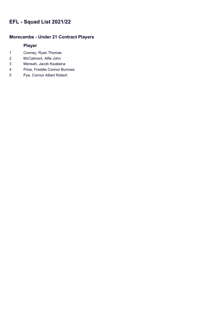### **Morecambe - Under 21 Contract Players**

- Cooney, Ryan Thomas
- McCalmont, Alfie John
- Mensah, Jacob Kwabena
- Price, Freddie Connor Burrows
- Pye, Connor Albert Robert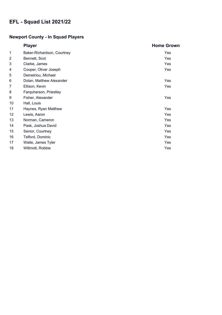# **Newport County - In Squad Players**

|                 | <b>Player</b>              | <b>Home Grown</b> |
|-----------------|----------------------------|-------------------|
| 1               | Baker-Richardson, Courtney | Yes               |
| $\overline{2}$  | Bennett, Scot              | Yes               |
| 3               | Clarke, James              | Yes               |
| 4               | Cooper, Oliver Joseph      | Yes               |
| 5               | Demetriou, Michael         |                   |
| 6               | Dolan, Matthew Alexander   | Yes               |
| 7               | Ellison, Kevin             | Yes               |
| 8               | Farquharson, Priestley     |                   |
| 9               | Fisher, Alexander          | Yes               |
| 10              | Hall, Louis                |                   |
| 11              | Haynes, Ryan Matthew       | Yes               |
| 12 <sup>2</sup> | Lewis, Aaron               | Yes               |
| 13              | Norman, Cameron            | Yes               |
| 14              | Pask, Joshua David         | Yes               |
| 15              | Senior, Courtney           | Yes               |
| 16              | Telford, Dominic           | Yes               |
| 17              | Waite, James Tyler         | Yes               |
| 18              | Willmott, Robbie           | Yes               |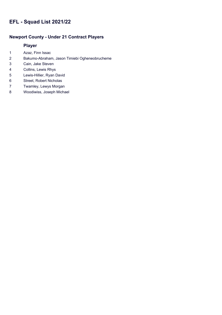### **Newport County - Under 21 Contract Players**

- Azaz, Finn Issac
- Bakumo-Abraham, Jason Timiebi Ogheneobrucheme
- Cain, Jake Steven
- Collins, Lewis Rhys
- Lewis-Hillier, Ryan David
- Street, Robert Nicholas
- Twamley, Lewys Morgan
- Woodiwiss, Joseph Michael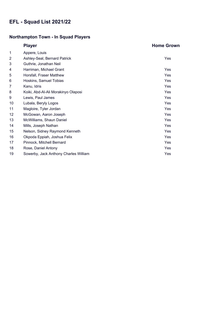# **Northampton Town - In Squad Players**

|                | <b>Player</b>                         | <b>Home Grown</b> |
|----------------|---------------------------------------|-------------------|
| 1              | Appere, Louis                         |                   |
| $\overline{2}$ | Ashley-Seal, Bernard Patrick          | Yes               |
| 3              | Guthrie, Jonathan Neil                |                   |
| 4              | Harriman, Michael Grant               | Yes               |
| 5              | Horsfall, Fraser Matthew              | Yes               |
| 6              | Hoskins, Samuel Tobias                | Yes               |
| 7              | Kanu, Idris                           | Yes               |
| 8              | Koiki, Abd-Al-Ali Morakinyo Olaposi   | Yes               |
| 9              | Lewis, Paul James                     | Yes               |
| 10             | Lubala, Beryly Logos                  | Yes               |
| 11             | Magloire, Tyler Jordan                | Yes               |
| 12             | McGowan, Aaron Joseph                 | Yes               |
| 13             | McWilliams, Shaun Daniel              | Yes               |
| 14             | Mills, Joseph Nathan                  | Yes               |
| 15             | Nelson, Sidney Raymond Kenneth        | Yes               |
| 16             | Okpoda Eppiah, Joshua Felix           | Yes               |
| 17             | Pinnock, Mitchell Bernard             | Yes               |
| 18             | Rose, Daniel Antony                   | Yes               |
| 19             | Sowerby, Jack Anthony Charles William | Yes               |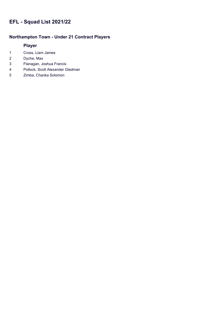### **Northampton Town - Under 21 Contract Players**

- Cross, Liam James
- Dyche, Max
- Flanagan, Joshua Francis
- Pollock, Scott Alexander Gladman
- Zimba, Chanka Solomon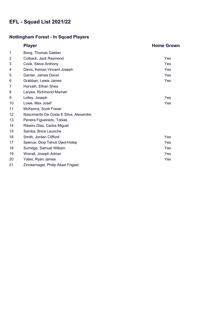# **Nottingham Forest - In Squad Players**

|                 | <b>Player</b>                          | <b>Home Grown</b> |
|-----------------|----------------------------------------|-------------------|
| 1               | Bong, Thomas Gaetan                    |                   |
| $\overline{2}$  | Colback, Jack Raymond                  | Yes               |
| 3               | Cook, Steve Anthony                    | Yes               |
| 4               | Davis, Keinan Vincent Joseph           | Yes               |
| 5               | Garner, James David                    | Yes               |
| 6               | Grabban, Lewis James                   | Yes               |
| 7               | Horvath, Ethan Shea                    |                   |
| 8               | Laryea, Richmond Mamah                 |                   |
| 9               | Lolley, Joseph                         | Yes               |
| 10              | Lowe, Max Josef                        | Yes               |
| 11              | McKenna, Scott Fraser                  |                   |
| 12 <sub>2</sub> | Nascimento Da Costa E Silva, Alexandre |                   |
| 13              | Pereira Figueiredo, Tobias             |                   |
| 14              | Ribeiro Dias, Carlos Miguel            |                   |
| 15              | Samba, Brice Lauriche                  |                   |
| 16              | Smith, Jordan Clifford                 | Yes               |
| 17              | Spence, Diop Tehuti Djed-Hotep         | <b>Yes</b>        |
| 18              | Surridge, Samuel William               | Yes               |
| 19              | Worrall, Joseph Adrian                 | Yes               |
| 20              | Yates, Ryan James                      | Yes               |
| 21              | Zinckernagel, Philip Aksel Frigast     |                   |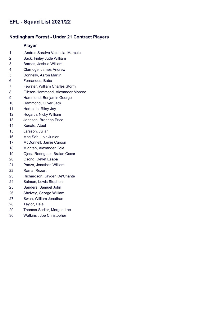#### **Nottingham Forest - Under 21 Contract Players**

- 1 Andres Saraiva Valencia, Marcelo
- Back, Finley Jude William
- Barnes, Joshua William
- Clarridge, James Andrew
- Donnelly, Aaron Martin
- Fernandes, Baba
- Fewster, William Charles Storm
- Gibson-Hammond, Alexander Monroe
- Hammond, Benjamin George
- Hammond, Oliver Jack
- Harbottle, Riley-Jay
- Hogarth, Nicky William
- Johnson, Brennan Price
- Konate, Ateef
- Larsson, Julian
- Mbe Soh, Loic Junior
- McDonnell, Jamie Carson
- Mighten, Alexander Cole
- Ojeda Rodriguez, Braian Oscar
- Osong, Detlef Esapa
- Panzo, Jonathan William
- Rama, Rezart
- Richardson, Jayden De'Chante
- Salmon, Lewis Stephen
- Sanders, Samuel John
- Shelvey, George William
- Swan, William Jonathan
- Taylor, Dale
- Thomas-Sadler, Morgan Lee
- Watkins , Joe Christopher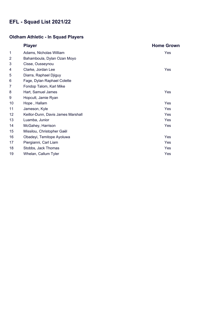# **Oldham Athletic - In Squad Players**

|                | <b>Player</b>                      | <b>Home Grown</b> |
|----------------|------------------------------------|-------------------|
| 1              | Adams, Nicholas William            | Yes               |
| $\overline{2}$ | Bahamboula, Dylan Ozan Moyo        |                   |
| 3              | Cisse, Ousseynou                   |                   |
| 4              | Clarke, Jordan Lee                 | Yes               |
| 5              | Diarra, Raphael Djiguy             |                   |
| 6              | Fage, Dylan Raphael Colette        |                   |
| 7              | Fondop Talom, Karl Mike            |                   |
| 8              | Hart, Samuel James                 | Yes               |
| 9              | Hopcutt, Jamie Ryan                |                   |
| 10             | Hope, Hallam                       | Yes               |
| 11             | Jameson, Kyle                      | Yes               |
| 12             | Keillor-Dunn, Davis James Marshall | Yes               |
| 13             | Luamba, Junior                     | Yes               |
| 14             | McGahey, Harrison                  | Yes               |
| 15             | Missilou, Christopher Gaël         |                   |
| 16             | Obadeyi, Temitope Ayoluwa          | Yes               |
| 17             | Piergianni, Carl Liam              | Yes               |
| 18             | Stobbs, Jack Thomas                | Yes               |
| 19             | Whelan, Callum Tyler               | Yes               |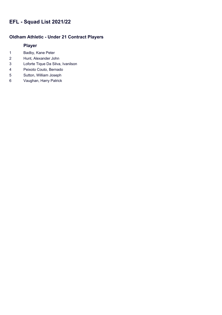# **Oldham Athletic - Under 21 Contract Players**

- Badby, Kane Peter
- Hunt, Alexander John
- Loforte Tique Da Silva, Ivanilson
- Peixoto Couto, Bernado
- Sutton, William Joseph
- Vaughan, Harry Patrick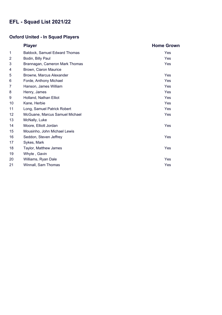# **Oxford United - In Squad Players**

|                | <b>Player</b>                        | <b>Home Grown</b> |
|----------------|--------------------------------------|-------------------|
| 1              | <b>Baldock, Samuel Edward Thomas</b> | Yes               |
| $\overline{2}$ | Bodin, Billy Paul                    | Yes               |
| 3              | Brannagan, Cameron Mark Thomas       | Yes               |
| 4              | Brown, Ciaron Maurice                |                   |
| 5              | Browne, Marcus Alexander             | Yes               |
| 6              | Forde, Anthony Michael               | Yes               |
| 7              | Hanson, James William                | Yes               |
| 8              | Henry, James                         | Yes               |
| 9              | Holland, Nathan Elliot               | Yes               |
| 10             | Kane, Herbie                         | Yes               |
| 11             | Long, Samuel Patrick Robert          | Yes               |
| 12             | McGuane, Marcus Samuel Michael       | Yes               |
| 13             | McNally, Luke                        |                   |
| 14             | Moore, Elliott Jordan                | Yes               |
| 15             | Mousinho, John Michael Lewis         |                   |
| 16             | Seddon, Steven Jeffrey               | Yes               |
| 17             | Sykes, Mark                          |                   |
| 18             | Taylor, Matthew James                | Yes               |
| 19             | Whyte, Gavin                         |                   |
| 20             | Williams, Ryan Dale                  | <b>Yes</b>        |
| 21             | Winnall, Sam Thomas                  | Yes               |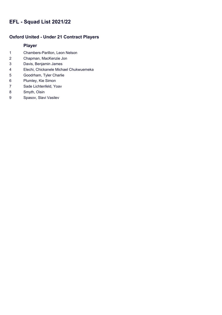### **Oxford United - Under 21 Contract Players**

- Chambers-Parillon, Leon Nelson
- Chapman, MacKenzie Jon
- Davis, Benjamin James
- Elechi, Chickanele Michael Chukwuemeka
- Goodrham, Tyler Charlie
- Plumley, Kie Simon
- Sade Lichtenfeld, Yoav
- Smyth, Oisin
- Spasov, Slavi Vasilev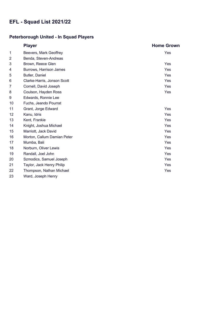# **Peterborough United - In Squad Players**

|                 | <b>Player</b>               | <b>Home Grown</b> |
|-----------------|-----------------------------|-------------------|
| 1               | Beevers, Mark Geoffrey      | Yes               |
| 2               | Benda, Steven-Andreas       |                   |
| 3               | Brown, Reece Glen           | Yes               |
| 4               | Burrows, Harrison James     | <b>Yes</b>        |
| 5               | Butler, Daniel              | <b>Yes</b>        |
| 6               | Clarke-Harris, Jonson Scott | Yes               |
| 7               | Cornell, David Joseph       | Yes               |
| 8               | Coulson, Hayden Ross        | Yes               |
| 9               | Edwards, Ronnie Lee         |                   |
| 10              | Fuchs, Jeando Pourrat       |                   |
| 11              | Grant, Jorge Edward         | <b>Yes</b>        |
| 12 <sub>2</sub> | Kanu, Idris                 | Yes               |
| 13              | Kent, Frankie               | Yes               |
| 14              | Knight, Joshua Michael      | Yes               |
| 15              | Marriott, Jack David        | Yes               |
| 16              | Morton, Callum Damian Peter | Yes               |
| 17              | Mumba, Bali                 | Yes               |
| 18              | Norburn, Oliver Lewis       | <b>Yes</b>        |
| 19              | Randall, Joel John          | Yes               |
| 20              | Szmodics, Samuel Joseph     | <b>Yes</b>        |
| 21              | Taylor, Jack Henry Philip   | Yes               |
| 22              | Thompson, Nathan Michael    | Yes               |
| 23              | Ward, Joseph Henry          |                   |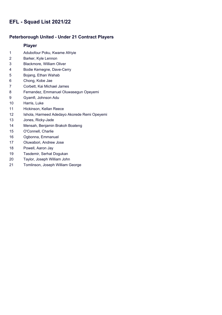### **Peterborough United - Under 21 Contract Players**

- Adubofour Poku, Kwame Afriyie
- Barker, Kyle Lennon
- Blackmore, William Oliver
- Bodie Kemegne, Dave-Cerry
- Bojang, Ethan Wahab
- Chong, Kobe Jae
- Corbett, Kai Michael James
- Fernandez, Emmanuel Oluwasegun Opeyemi
- Gyamfi, Johnson Adu
- Harris, Luke
- Hickinson, Kellan Reece
- Ishola, Harmeed Adedayo Akorede Remi Opeyemi
- Jones, Ricky-Jade
- Mensah, Benjamin Brakoh Boateng
- O'Connell, Charlie
- Ogbonna, Emmanuel
- Oluwabori, Andrew Jose
- Powell, Aaron Jay
- Tasdemir, Serhat Dogukan
- Taylor, Joseph William John
- Tomlinson, Joseph William George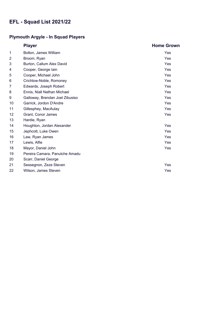# **Plymouth Argyle - In Squad Players**

|                 | <b>Player</b>                   | <b>Home Grown</b> |
|-----------------|---------------------------------|-------------------|
| 1               | Bolton, James William           | Yes               |
| $\overline{2}$  | Broom, Ryan                     | <b>Yes</b>        |
| 3               | Burton, Callum Alex David       | <b>Yes</b>        |
| 4               | Cooper, George lain             | Yes               |
| 5               | Cooper, Michael John            | <b>Yes</b>        |
| 6               | Crichlow-Noble, Romoney         | <b>Yes</b>        |
| 7               | Edwards, Joseph Robert          | Yes               |
| 8               | Ennis, Niall Nathan Michael     | Yes               |
| 9               | Galloway, Brendan Joel Zibusiso | <b>Yes</b>        |
| 10              | Garrick, Jordon D'Andre         | <b>Yes</b>        |
| 11              | Gillesphey, MacAulay            | <b>Yes</b>        |
| 12 <sub>2</sub> | Grant, Conor James              | Yes               |
| 13              | Hardie, Ryan                    |                   |
| 14              | Houghton, Jordan Alexander      | Yes               |
| 15              | Jephcott, Luke Owen             | Yes               |
| 16              | Law, Ryan James                 | Yes               |
| 17              | Lewis, Alfie                    | <b>Yes</b>        |
| 18              | Mayor, Daniel John              | Yes               |
| 19              | Pereira Camara, Panutche Amadu  |                   |
| 20              | Scarr, Daniel George            |                   |
| 21              | Sessegnon, Zeze Steven          | Yes               |
| 22              | Wilson, James Steven            | Yes               |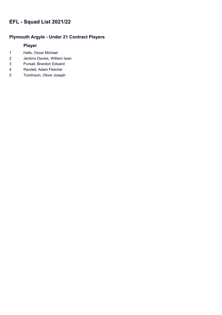### **Plymouth Argyle - Under 21 Contract Players**

- Halls, Oscar Michael
- Jenkins Davies, William Iwan
- Pursall, Brandon Edward
- Randell, Adam Fletcher
- Tomlinson, Oliver Joseph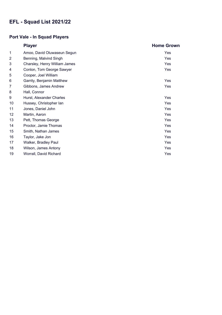# **Port Vale - In Squad Players**

|                | <b>Player</b>                 | <b>Home Grown</b> |
|----------------|-------------------------------|-------------------|
| 1              | Amoo, David Oluwaseun Segun   | Yes               |
| $\overline{2}$ | Benning, Malvind Singh        | Yes               |
| 3              | Charsley, Henry William James | Yes               |
| 4              | Conlon, Tom George Sawyer     | Yes               |
| 5              | Cooper, Joel William          |                   |
| 6              | Garrity, Benjamin Matthew     | Yes               |
| 7              | Gibbons, James Andrew         | Yes               |
| 8              | Hall, Connor                  |                   |
| 9              | Hurst, Alexander Charles      | Yes               |
| 10             | Hussey, Christopher lan       | Yes               |
| 11             | Jones, Daniel John            | Yes               |
| 12             | Martin, Aaron                 | Yes               |
| 13             | Pett, Thomas George           | Yes               |
| 14             | Proctor, Jamie Thomas         | Yes               |
| 15             | Smith, Nathan James           | Yes               |
| 16             | Taylor, Jake Jon              | Yes               |
| 17             | Walker, Bradley Paul          | Yes               |
| 18             | Wilson, James Antony          | Yes               |
| 19             | Worrall, David Richard        | Yes               |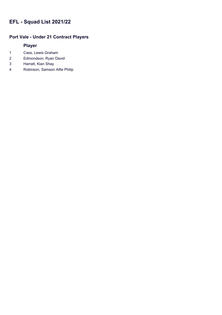### **Port Vale - Under 21 Contract Players**

- 1 Cass, Lewis Graham
- 2 Edmondson, Ryan David
- 3 Harratt, Kian Shay
- 4 Robinson, Samson Alfie Philip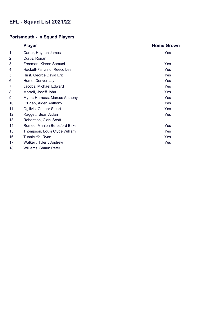### **Portsmouth - In Squad Players**

|                 | <b>Player</b>                 | <b>Home Grown</b> |
|-----------------|-------------------------------|-------------------|
| 1               | Carter, Hayden James          | Yes               |
| $\overline{2}$  | Curtis, Ronan                 |                   |
| 3               | Freeman, Kieron Samuel        | Yes               |
| 4               | Hackett-Fairchild, Reeco Lee  | Yes               |
| 5               | Hirst, George David Eric      | Yes               |
| 6               | Hume, Denver Jay              | Yes               |
| 7               | Jacobs, Michael Edward        | Yes               |
| 8               | Morrell, Joseff John          | Yes               |
| 9               | Myers-Harness, Marcus Anthony | Yes               |
| 10              | O'Brien, Aiden Anthony        | Yes               |
| 11              | Ogilivie, Connor Stuart       | Yes               |
| 12 <sub>2</sub> | Raggett, Sean Aidan           | Yes               |
| 13              | Robertson, Clark Scott        |                   |
| 14              | Romeo, Mahlon Beresford Baker | Yes               |
| 15              | Thompson, Louis Clyde William | Yes               |
| 16              | Tunnicliffe, Ryan             | Yes               |
| 17              | Walker, Tyler J Andrew        | Yes               |
| 18              | Williams, Shaun Peter         |                   |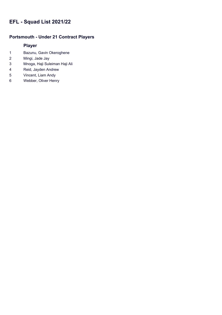### **Portsmouth - Under 21 Contract Players**

- Bazunu, Gavin Okeroghene
- Mingi, Jade Jay
- Mnoga, Haji Suleiman Haji Ali
- Reid, Jayden Andrew
- Vincent, Liam Andy
- Webber, Oliver Henry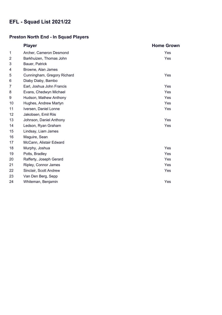# **Preston North End - In Squad Players**

|                | <b>Player</b>               | <b>Home Grown</b> |
|----------------|-----------------------------|-------------------|
| 1              | Archer, Cameron Desmond     | Yes               |
| $\overline{2}$ | Barkhuizen, Thomas John     | Yes               |
| 3              | Bauer, Patrick              |                   |
| 4              | Browne, Alan James          |                   |
| 5              | Cunningham, Gregory Richard | Yes               |
| 6              | Diaby Diaby, Bambo          |                   |
| 7              | Earl, Joshua John Francis   | Yes               |
| 8              | Evans, Chedwyn Michael      | Yes               |
| 9              | Hudson, Mathew Anthony      | Yes               |
| 10             | Hughes, Andrew Martyn       | Yes               |
| 11             | Iversen, Daniel Lonne       | Yes               |
| 12             | Jakobsen, Emil Riis         |                   |
| 13             | Johnson, Daniel Anthony     | Yes               |
| 14             | Ledson, Ryan Graham         | Yes               |
| 15             | Lindsay, Liam James         |                   |
| 16             | Maguire, Sean               |                   |
| 17             | McCann, Alistair Edward     |                   |
| 18             | Murphy, Joshua              | Yes               |
| 19             | Potts, Bradley              | Yes               |
| 20             | Rafferty, Joseph Gerard     | Yes               |
| 21             | Ripley, Connor James        | Yes               |
| 22             | Sinclair, Scott Andrew      | Yes               |
| 23             | Van Den Berg, Sepp          |                   |
| 24             | Whiteman, Benjamin          | Yes               |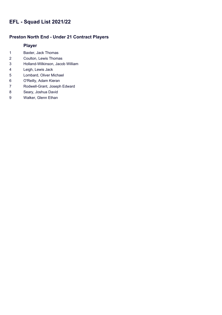### **Preston North End - Under 21 Contract Players**

- Baxter, Jack Thomas
- Coulton, Lewis Thomas
- Holland-Wilkinson, Jacob William
- Leigh, Lewis Jack
- Lombard, Oliver Michael
- O'Reilly, Adam Kieran
- Rodwell-Grant, Joseph Edward
- Seary, Joshua David
- Walker, Glenn Ethan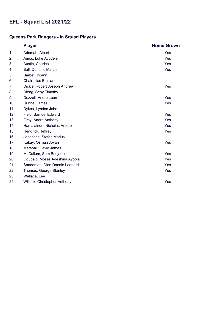### **Queens Park Rangers - In Squad Players**

|    | <b>Player</b>                  | <b>Home Grown</b> |
|----|--------------------------------|-------------------|
| 1  | Adomah, Albert                 | Yes               |
| 2  | Amos, Luke Ayodele             | <b>Yes</b>        |
| 3  | Austin, Charles                | Yes               |
| 4  | <b>Ball, Dominic Martin</b>    | Yes               |
| 5  | Barbet, Yoann                  |                   |
| 6  | Chair, Ilias Emilian           |                   |
| 7  | Dickie, Robert Joseph Andrew   | Yes               |
| 8  | Dieng, Seny Timothy            |                   |
| 9  | Dozzell, Andre Leon            | Yes               |
| 10 | Dunne, James                   | Yes               |
| 11 | Dykes, Lyndon John             |                   |
| 12 | Field, Samuel Edward           | Yes               |
| 13 | Gray, Andre Anthony            | Yes               |
| 14 | Hamalainen, Nicholas Antero    | Yes               |
| 15 | Hendrick, Jeffrey              | Yes               |
| 16 | Johansen, Stefan Marius        |                   |
| 17 | Kakay, Osman Jovan             | Yes               |
| 18 | Marshall, David James          |                   |
| 19 | McCallum, Sam Benjamin         | Yes               |
| 20 | Odubajo, Moses Adeshina Ayoola | Yes               |
| 21 | Sanderson, Dion Dannie Leonard | Yes               |
| 22 | Thomas, George Stanley         | Yes               |
| 23 | Wallace, Lee                   |                   |
| 24 | Willock, Christopher Anthony   | Yes               |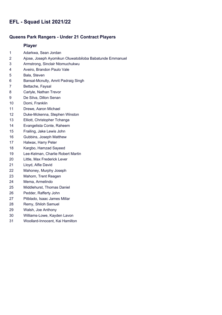#### **Queens Park Rangers - Under 21 Contract Players**

- Adarkwa, Sean Jordan
- Ajose, Joseph Ayomikun Oluwatobiloba Babatunde Emmanuel
- Armstrong, Sinclair Ntomuchukwu
- Aveiro, Brandon Paulo Vale
- Bala, Steven
- Bansal-Mcnulty, Amrit Padraig Singh
- Bettache, Faysal
- Carlyle, Nathan Trevor
- De Silva, Dillon Senan
- Domi, Franklin
- Drewe, Aaron Michael
- Duke-Mckenna, Stephen Winston
- Elliott, Christopher Tchanga
- Evangelista Conte, Raheem
- Frailing, Jake Lewis John
- Gubbins, Joseph Matthew
- Halwax, Harry Peter
- Kargbo, Hamzad Sayeed
- Lee-Kelman, Charlie Robert Martin
- Little, Max Frederick Lever
- Lloyd, Alfie David
- Mahoney, Murphy Joseph
- Mahorn, Trent Reagen
- Mema, Armelindo
- Middlehurst, Thomas Daniel
- Pedder, Rafferty John
- Pitblado, Isaac James Millar
- Remy, Shiloh Samuel
- Walsh, Joe Anthony
- Williams-Lowe, Kayden Lavon
- Woollard-Innocent, Kai Hamilton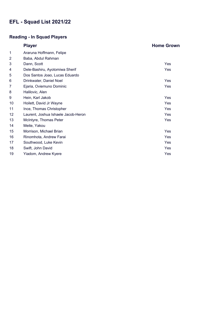# **Reading - In Squad Players**

|    | <b>Player</b>                       | <b>Home Grown</b> |
|----|-------------------------------------|-------------------|
| 1  | Araruna Hoffmann, Felipe            |                   |
| 2  | Baba, Abdul Rahman                  |                   |
| 3  | Dann, Scott                         | Yes               |
| 4  | Dele-Bashiru, Ayotomiwa Sherif      | Yes               |
| 5  | Dos Santos Joao, Lucas Eduardo      |                   |
| 6  | Drinkwater, Daniel Noel             | Yes               |
| 7  | Ejaria, Oviemuno Dominic            | Yes               |
| 8  | Halilovic, Alen                     |                   |
| 9  | Hein, Karl Jakob                    | Yes               |
| 10 | Hoilett, David Jr Wayne             | Yes               |
| 11 | Ince, Thomas Christopher            | Yes               |
| 12 | Laurent, Joshua Ishaele Jacob-Heron | Yes               |
| 13 | McIntyre, Thomas Peter              | Yes               |
| 14 | Meite, Yakou                        |                   |
| 15 | Morrison, Michael Brian             | Yes               |
| 16 | Rinomhota, Andrew Farai             | Yes               |
| 17 | Southwood, Luke Kevin               | Yes               |
| 18 | Swift, John David                   | Yes               |
| 19 | Yiadom, Andrew Kyere                | Yes               |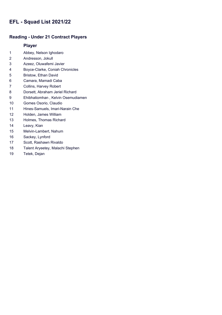### **Reading - Under 21 Contract Players**

- Abbey, Nelson Ighodaro
- Andresson, Jokull
- Azeez, Oluwafemi Javier
- Boyce-Clarke, Coniah Chronicles
- Bristow, Ethan David
- Camara, Mamadi Caba
- Collins, Harvey Robert
- Dorsett, Abraham Jeriel Richard
- Ehibhatiomhan , Kelvin Osemudiamen
- Gomes Osorio, Claudio
- Hines-Samuels, Imari-Narain Che
- Holden, James William
- Holmes, Thomas Richard
- Leavy, Kian
- Melvin-Lambert, Nahum
- Sackey, Lynford
- Scott, Rashawn Rivaldo
- Talent Aryeetey, Malachi Stephen
- Tetek, Dejan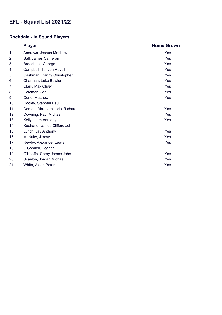## **Rochdale - In Squad Players**

|                 | <b>Player</b>                   | <b>Home Grown</b> |
|-----------------|---------------------------------|-------------------|
| 1               | Andrews, Joshua Matthew         | Yes               |
| $\overline{2}$  | Ball, James Cameron             | Yes               |
| 3               | Broadbent, George               | Yes               |
| 4               | Campbell, Tahvon Ravell         | Yes               |
| 5               | Cashman, Danny Christopher      | Yes               |
| 6               | Charman, Luke Bowler            | Yes               |
| 7               | Clark, Max Oliver               | Yes               |
| 8               | Coleman, Joel                   | Yes               |
| 9               | Done, Matthew                   | Yes               |
| 10              | Dooley, Stephen Paul            |                   |
| 11              | Dorsett, Abraham Jeriel Richard | Yes               |
| 12 <sup>2</sup> | Downing, Paul Michael           | Yes               |
| 13              | Kelly, Liam Anthony             | Yes               |
| 14              | Keohane, James Clifford John    |                   |
| 15              | Lynch, Jay Anthony              | Yes               |
| 16              | McNulty, Jimmy                  | Yes               |
| 17              | Newby, Alexander Lewis          | Yes               |
| 18              | O'Connell, Eoghan               |                   |
| 19              | O'Keeffe, Corey James John      | <b>Yes</b>        |
| 20              | Scanlon, Jordan Michael         | Yes               |
| 21              | White, Aidan Peter              | Yes               |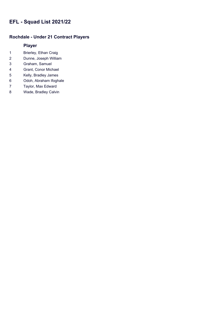### **Rochdale - Under 21 Contract Players**

- Brierley, Ethan Craig
- Dunne, Joseph William
- Graham, Samuel
- Grant, Conor Michael
- Kelly, Bradley James
- Odoh, Abraham Ifoghale
- Taylor, Max Edward
- Wade, Bradley Calvin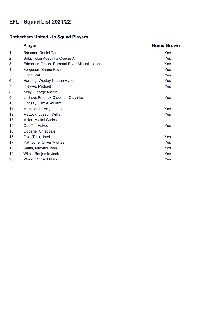## **Rotherham United - In Squad Players**

|                | <b>Player</b>                              | <b>Home Grown</b> |
|----------------|--------------------------------------------|-------------------|
| 1              | Barlaser, Daniel Tan                       | Yes               |
| $\overline{2}$ | Bola, Tolaji Adeyinka Osegie A             | Yes               |
| 3              | Edmonds-Green, Rarmani River Miguel Joseph | Yes               |
| 4              | Ferguson, Shane Kevin                      | Yes               |
| 5              | Grigg, Will                                | Yes               |
| 6              | Harding, Wesley Nathan Hylton              | Yes               |
| 7              | Ihiekwe, Michael                           | Yes               |
| 8              | Kelly, George Martin                       |                   |
| 9              | Ladapo, Fredrick Oladotun Olayinka         | Yes               |
| 10             | Lindsay, Jamie William                     |                   |
| 11             | Macdonald, Angus Lees                      | Yes               |
| 12             | Mattock, Joseph William                    | Yes               |
| 13             | Miller, Mickel Carlos                      |                   |
| 14             | Odoffin, Hakeem                            | Yes               |
| 15             | Ogbene, Chiedozie                          |                   |
| 16             | Osei-Tutu, Jordi                           | Yes               |
| 17             | Rathbone, Oliver Michael                   | Yes               |
| 18             | Smith, Michael John                        | Yes               |
| 19             | Wiles, Benjamin Jack                       | Yes               |
| 20             | Wood, Richard Mark                         | Yes               |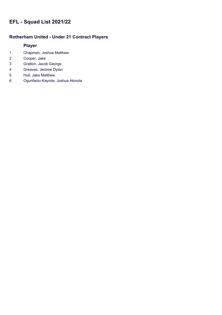### **Rotherham United - Under 21 Contract Players**

- Chapman, Joshua Matthew
- Cooper, Jake
- Gratton, Jacob George
- Greaves, Jerome Dylan
- Hull, Jake Matthew
- Ogunfaolu-Kayode, Joshua Akinola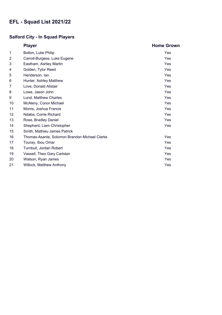## **Salford City - In Squad Players**

|    | <b>Player</b>                                 | <b>Home Grown</b> |
|----|-----------------------------------------------|-------------------|
| 1  | Bolton, Luke Philip                           | Yes               |
| 2  | Carroll-Burgess, Luke Eugene                  | Yes               |
| 3  | Eastham, Ashley Martin                        | Yes               |
| 4  | Golden, Tylor Reed                            | Yes               |
| 5  | Henderson, lan                                | Yes               |
| 6  | Hunter, Ashley Matthew                        | <b>Yes</b>        |
| 7  | Love, Donald Alistair                         | Yes               |
| 8  | Lowe, Jason John                              | Yes               |
| 9  | Lund, Matthew Charles                         | Yes               |
| 10 | McAleny, Conor Michael                        | Yes               |
| 11 | Morris, Joshua Francis                        | Yes               |
| 12 | Ndaba, Corrie Richard                         | Yes               |
| 13 | Rose, Bradley Daniel                          | Yes               |
| 14 | Shephard, Liam Christopher                    | Yes               |
| 15 | Smith, Mathieu James Patrick                  |                   |
| 16 | Thomas-Asante, Solomon Brandon Michael Clarke | Yes               |
| 17 | Touray, Ibou Omar                             | <b>Yes</b>        |
| 18 | Turnbull, Jordan Robert                       | Yes               |
| 19 | Vassell, Theo Gary Carlstan                   | Yes               |
| 20 | Watson, Ryan James                            | Yes               |
| 21 | Willock, Matthew Anthony                      | Yes               |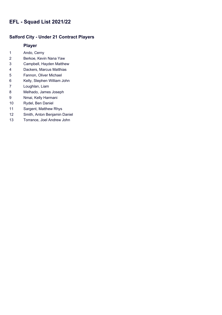### **Salford City - Under 21 Contract Players**

- Ando, Cerny
- Berkoe, Kevin Nana Yaw
- Campbell, Hayden Matthew
- Dackers, Marcus Matthias
- Fannon, Oliver Michael
- Kelly, Stephen William John
- Loughlan, Liam
- Melhado, James Joseph
- Nmai, Kelly Harmani
- Rydel, Ben Daniel
- Sargent, Matthew Rhys
- Smith, Anton Benjamin Daniel
- Torrance, Joel Andrew John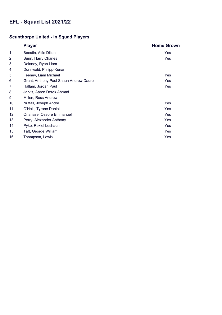## **Scunthorpe United - In Squad Players**

|                | <b>Player</b>                          | <b>Home Grown</b> |
|----------------|----------------------------------------|-------------------|
| $\mathbf{1}$   | Beestin, Alfie Dillon                  | Yes               |
| $\overline{2}$ | Bunn, Harry Charles                    | Yes               |
| 3              | Delaney, Ryan Liam                     |                   |
| 4              | Dunnwald, Philipp-Kenan                |                   |
| 5              | Feeney, Liam Michael                   | Yes               |
| 6              | Grant, Anthony Paul Shaun Andrew Daure | <b>Yes</b>        |
| 7              | Hallam, Jordan Paul                    | Yes               |
| 8              | Jarvis, Aaron Derek Ahmad              |                   |
| 9              | Millen, Ross Andrew                    |                   |
| 10             | Nuttall, Joseph Andre                  | Yes               |
| 11             | O'Neill, Tyrone Daniel                 | Yes               |
| 12             | Onariase, Osaore Emmanuel              | Yes               |
| 13             | Perry, Alexander Anthony               | Yes               |
| 14             | Pyke, Rekiel Leshaun                   | Yes               |
| 15             | Taft, George William                   | Yes               |
| 16             | Thompson, Lewis                        | Yes               |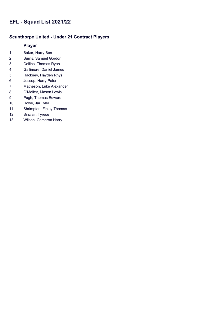#### **Scunthorpe United - Under 21 Contract Players**

- Baker, Harry Ben
- Burns, Samuel Gordon
- Collins, Thomas Ryan
- Gallimore, Daniel James
- Hackney, Hayden Rhys
- Jessop, Harry Peter
- Matheson, Luke Alexander
- O'Malley, Mason Lewis
- Pugh, Thomas Edward
- Rowe, Jai Tyler
- Shrimpton, Finley Thomas
- Sinclair, Tyrese
- Wilson, Cameron Harry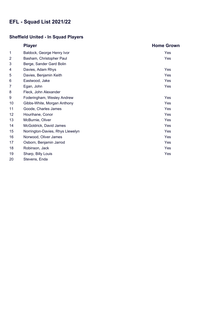### **Sheffield United - In Squad Players**

|                | <b>Player</b>                    | <b>Home Grown</b> |
|----------------|----------------------------------|-------------------|
| 1              | Baldock, George Henry Ivor       | Yes               |
| $\overline{2}$ | Basham, Christopher Paul         | Yes               |
| 3              | Berge, Sander Gard Bolin         |                   |
| 4              | Davies, Adam Rhys                | Yes               |
| 5              | Davies, Benjamin Keith           | Yes               |
| 6              | Eastwood, Jake                   | Yes               |
| 7              | Egan, John                       | Yes               |
| 8              | Fleck, John Alexander            |                   |
| 9              | Foderingham, Wesley Andrew       | Yes               |
| 10             | Gibbs-White, Morgan Anthony      | Yes               |
| 11             | Goode, Charles James             | Yes               |
| 12             | Hourihane, Conor                 | Yes               |
| 13             | McBurnie, Oliver                 | Yes               |
| 14             | McGoldrick, David James          | Yes               |
| 15             | Norrington-Davies, Rhys Llewelyn | Yes               |
| 16             | Norwood, Oliver James            | Yes               |
| 17             | Osborn, Benjamin Jarrod          | Yes               |
| 18             | Robinson, Jack                   | Yes               |
| 19             | Sharp, Billy Louis               | Yes               |
| 20             | Stevens, Enda                    |                   |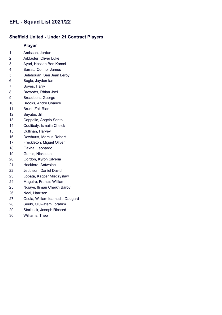#### **Sheffield United - Under 21 Contract Players**

- Amissah, Jordan
- Arblaster, Oliver Luke
- Ayari, Hassan Ben Kamel
- Barratt, Connor James
- Belehouan, Seri Jean Leroy
- Bogle, Jayden Ian
- Boyes, Harry
- Brewster, Rhian Joel
- Broadbent, George
- Brooks, Andre Chance
- Brunt, Zak Rian
- Buyabu, Jili
- Cappello, Angelo Santo
- Coulibaly, Ismaila Cheick
- Cullinan, Harvey
- Dewhurst, Marcus Robert
- Freckleton, Miguel Oliver
- Gaxha, Leonardo
- Gomis, Nicksoen
- Gordon, Kyron Silveria
- Hackford, Antwoine
- Jebbison, Daniel David
- Lopata, Kacper Mieczyslaw
- Maguire, Francis William
- Ndiaye, Iliman Cheikh Baroy
- Neal, Harrison
- Osula, William Idamudia Daugard
- Seriki, Oluwafemi Ibrahim
- Starbuck, Joseph Richard
- Williams, Theo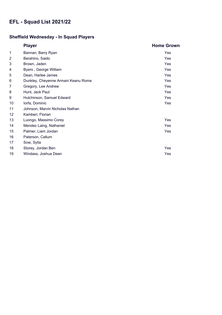## **Sheffield Wednesday - In Squad Players**

|                | <b>Player</b>                       | <b>Home Grown</b> |
|----------------|-------------------------------------|-------------------|
| 1              | Bannan, Barry Ryan                  | Yes               |
| $\overline{2}$ | Berahino, Saido                     | Yes               |
| 3              | Brown, Jaden                        | Yes               |
| 4              | Byers, George William               | Yes               |
| 5              | Dean, Harlee James                  | Yes               |
| 6              | Dunkley, Cheyenne Armani Keanu Roma | Yes               |
| 7              | Gregory, Lee Andrew                 | Yes               |
| 8              | Hunt, Jack Paul                     | Yes               |
| 9              | Hutchinson, Samuel Edward           | Yes               |
| 10             | lorfa, Dominic                      | Yes               |
| 11             | Johnson, Marvin Nicholas Nathan     |                   |
| 12             | Kamberi, Florian                    |                   |
| 13             | Luongo, Massimo Corey               | Yes               |
| 14             | Mendez Laing, Nathaniel             | Yes               |
| 15             | Palmer, Liam Jordan                 | Yes               |
| 16             | Paterson, Callum                    |                   |
| 17             | Sow, Sylla                          |                   |
| 18             | Storey, Jordan Ben                  | Yes               |
| 19             | Windass, Joshua Dean                | Yes               |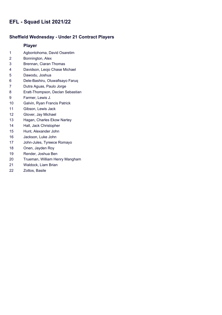#### **Sheffield Wednesday - Under 21 Contract Players**

- Agbontohoma, David Osaretim
- Bonnington, Alex
- Brennan, Ciaran Thomas
- Davidson, Leojo Chase Michael
- Dawodu, Joshua
- Dele-Bashiru, Oluwafisayo Faruq
- Dutra Aguas, Paulo Jorge
- Eratt-Thompson, Declan Sebastian
- Farmer, Lewis J.
- Galvin, Ryan Francis Patrick
- Gibson, Lewis Jack
- Glover, Jay Michael
- Hagan, Charles Ekow Nartey
- Hall, Jack Christopher
- Hunt, Alexander John
- Jackson, Luke John
- John-Jules, Tyreece Romayo
- Onen, Jayden Roy
- Render, Joshua Ben
- Trueman, William Henry Mangham
- Waldock, Liam Brian
- Zottos, Basile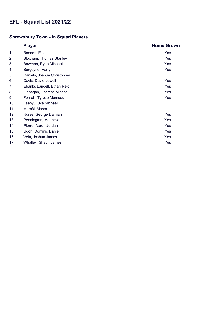## **Shrewsbury Town - In Squad Players**

|    | <b>Player</b>               | <b>Home Grown</b> |
|----|-----------------------------|-------------------|
| 1  | Bennett, Elliott            | <b>Yes</b>        |
| 2  | Bloxham, Thomas Stanley     | Yes               |
| 3  | Bowman, Ryan Michael        | Yes               |
| 4  | Burgoyne, Harry             | Yes               |
| 5  | Daniels, Joshua Christopher |                   |
| 6  | Davis, David Lowell         | Yes               |
| 7  | Ebanks Landell, Ethan Reid  | Yes               |
| 8  | Flanagan, Thomas Michael    | Yes               |
| 9  | Fornah, Tyrese Momodu       | Yes               |
| 10 | Leahy, Luke Michael         |                   |
| 11 | Maroši, Marco               |                   |
| 12 | Nurse, George Damian        | Yes               |
| 13 | Pennington, Matthew         | Yes               |
| 14 | Pierre, Aaron Jordan        | Yes               |
| 15 | Udoh, Dominic Daniel        | Yes               |
| 16 | Vela, Joshua James          | Yes               |
| 17 | Whalley, Shaun James        | Yes               |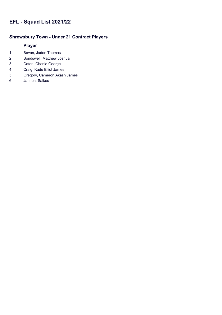### **Shrewsbury Town - Under 21 Contract Players**

- Bevan, Jaden Thomas
- Bondswell, Matthew Joshua
- Caton, Charlie George
- Craig, Kade Elliot James
- Gregory, Cameron Akash James
- Janneh, Saikou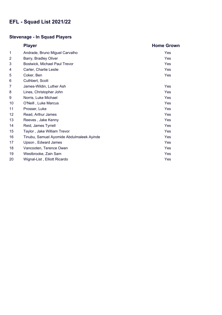## **Stevenage - In Squad Players**

|                 | <b>Player</b>                             | <b>Home Grown</b> |
|-----------------|-------------------------------------------|-------------------|
| 1               | Andrade, Bruno Miguel Carvalho            | Yes               |
| $\overline{2}$  | Barry, Bradley Oliver                     | Yes               |
| 3               | Bostwick, Michael Paul Trevor             | Yes               |
| 4               | Carter, Charlie Leslie                    | Yes               |
| 5               | Coker, Ben                                | Yes               |
| 6               | Cuthbert, Scott                           |                   |
| 7               | James-Wildin, Luther Ash                  | Yes               |
| 8               | Lines, Christopher John                   | Yes               |
| 9               | Norris, Luke Michael                      | Yes               |
| 10              | O'Neill, Luke Marcus                      | Yes               |
| 11              | Prosser, Luke                             | Yes               |
| 12 <sup>2</sup> | Read, Arthur James                        | Yes               |
| 13              | Reeves, Jake Kenny                        | Yes               |
| 14              | Reid, James Tyrrell                       | Yes               |
| 15              | Taylor, Jake William Trevor               | Yes               |
| 16              | Tinubu, Samuel Ayomide Abdulmaleek Ayinde | Yes               |
| 17              | Upson, Edward James                       | Yes               |
| 18              | Vancooten, Terence Owen                   | Yes               |
| 19              | Westbrooke, Zain Sam                      | Yes               |
| 20              | Wignal-List, Elliott Ricardo              | Yes               |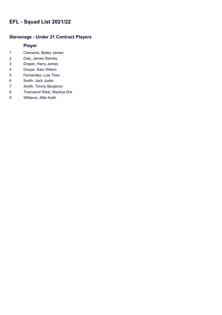### **Stevenage - Under 21 Contract Players**

- Clements, Bailey James
- Daly, James Stanley
- Draper, Harry James
- Dreyer, Sam Wilson
- Fernandez, Luis Theo
- Smith, Jack Justin
- Smith, Timmy Benjamin
- Townsend West, Mackye Dre
- Williams, Alfie Keith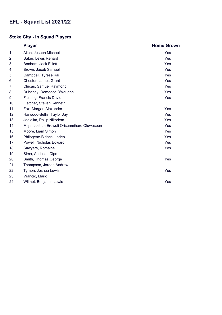## **Stoke City - In Squad Players**

|    | <b>Player</b>                               | <b>Home Grown</b> |
|----|---------------------------------------------|-------------------|
| 1  | Allen, Joseph Michael                       | Yes               |
| 2  | Baker, Lewis Renard                         | Yes               |
| 3  | Bonham, Jack Elliott                        | <b>Yes</b>        |
| 4  | Brown, Jacob Samuel                         | Yes               |
| 5  | Campbell, Tyrese Kai                        | Yes               |
| 6  | Chester, James Grant                        | Yes               |
| 7  | Clucas, Samuel Raymond                      | Yes               |
| 8  | Duhaney, Demeaco D'Vaughn                   | <b>Yes</b>        |
| 9  | Fielding, Francis David                     | Yes               |
| 10 | Fletcher, Steven Kenneth                    |                   |
| 11 | Fox, Morgan Alexander                       | Yes               |
| 12 | Harwood-Bellis, Taylor Jay                  | Yes               |
| 13 | Jagielka, Philip Nikodem                    | <b>Yes</b>        |
| 14 | Maja, Joshua Erowoli Orisunmihare Oluwaseun | <b>Yes</b>        |
| 15 | Moore, Liam Simon                           | Yes               |
| 16 | Philogene-Bidace, Jaden                     | Yes               |
| 17 | Powell, Nicholas Edward                     | Yes               |
| 18 | Sawyers, Romaine                            | <b>Yes</b>        |
| 19 | Sima, Abdallah Dipo                         |                   |
| 20 | Smith, Thomas George                        | Yes               |
| 21 | Thompson, Jordan Andrew                     |                   |
| 22 | Tymon, Joshua Lewis                         | Yes               |
| 23 | Vrancic, Mario                              |                   |
| 24 | Wilmot, Benjamin Lewis                      | Yes               |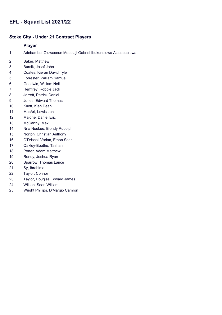#### **Stoke City - Under 21 Contract Players**

- Adebambo, Oluwaseun Mobolaji Gabriel Ibukunoluwa Alasepeoluwa
- Baker, Matthew
- Bursik, Josef John
- Coates, Kieran David Tyler
- Forrester, William Samuel
- Goodwin, William Neil
- Hemfrey, Robbie Jack
- Jarrett, Patrick Daniel
- Jones, Edward Thomas
- Knott, Kian Dean
- MacAri, Lewis Jon
- Malone, Daniel Eric
- McCarthy, Max
- Nna Noukeu, Blondy Rudolph
- Norton, Christian Anthony
- O'Driscoll Varian, Ethon Sean
- Oakley-Boothe, Tashan
- Porter, Adam Matthew
- Roney, Joshua Ryan
- Sparrow, Thomas Lance
- Sy, Ibrahima
- Taylor, Connor
- Taylor, Douglas Edward James
- Wilson, Sean William
- Wright Phillips, D'Margio Camron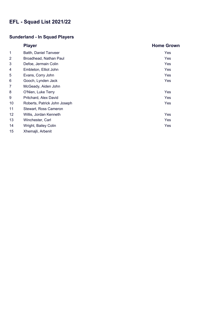### **Sunderland - In Squad Players**

|                | <b>Player</b>                | <b>Home Grown</b> |
|----------------|------------------------------|-------------------|
| 1              | Batth, Daniel Tanveer        | Yes               |
| $\overline{2}$ | Broadhead, Nathan Paul       | Yes               |
| 3              | Defoe, Jermain Colin         | Yes               |
| 4              | Embleton, Elliot John        | Yes               |
| 5              | Evans, Corry John            | Yes               |
| 6              | Gooch, Lynden Jack           | Yes               |
| 7              | McGeady, Aiden John          |                   |
| 8              | O'Nien, Luke Terry           | Yes               |
| 9              | Pritchard, Alex David        | Yes               |
| 10             | Roberts, Patrick John Joseph | Yes               |
| 11             | Stewart, Ross Cameron        |                   |
| 12             | Willis, Jordan Kenneth       | Yes               |
| 13             | Winchester, Carl             | <b>Yes</b>        |
| 14             | Wright, Bailey Colin         | Yes               |
| 15             | Xhemajli, Arbenit            |                   |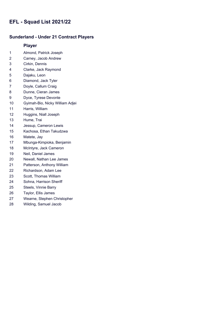### **Sunderland - Under 21 Contract Players**

- Almond, Patrick Joseph
- Carney, Jacob Andrew
- Cirkin, Dennis
- Clarke, Jack Raymond
- Dajaku, Leon
- Diamond, Jack Tyler
- Doyle, Callum Craig
- Dunne, Cieran James
- Dyce, Tyrese Devonte
- Gyimah-Bio, Nicky William Adjei
- Harris, William
- Huggins, Niall Joseph
- Hume, Trai
- Jessup, Cameron Lewis
- Kachosa, Ethan Takudzwa
- Matete, Jay
- Mbunga-Kimpioka, Benjamin
- McIntyre, Jack Cameron
- Neil, Daniel James
- Newall, Nathan Lee James
- Patterson, Anthony William
- Richardson, Adam Lee
- Scott, Thomas William
- Sohna, Harrison Sheriff
- Steels, Vinnie Barry
- Taylor, Ellis James
- Wearne, Stephen Christopher
- Wilding, Samuel Jacob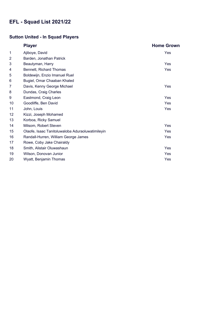### **Sutton United - In Squad Players**

|    | <b>Player</b>                                    | <b>Home Grown</b> |
|----|--------------------------------------------------|-------------------|
| 1  | Ajiboye, David                                   | Yes               |
| 2  | Barden, Jonathan Patrick                         |                   |
| 3  | Beautyman, Harry                                 | Yes               |
| 4  | Bennett, Richard Thomas                          | Yes               |
| 5  | Boldewijn, Enzio Imanuel Ruel                    |                   |
| 6  | Bugiel, Omar Chaaban Khaled                      |                   |
| 7  | Davis, Kenny George Michael                      | Yes               |
| 8  | Dundas, Craig Charles                            |                   |
| 9  | Eastmond, Craig Leon                             | Yes               |
| 10 | Goodliffe, Ben David                             | Yes               |
| 11 | John, Louis                                      | Yes               |
| 12 | Kizzi, Joseph Mohamed                            |                   |
| 13 | Korboa, Ricky Samuel                             |                   |
| 14 | Milsom, Robert Steven                            | Yes               |
| 15 | Olaofe, Isaac Tanitoluwaloba Aduraoluwatimileyin | Yes               |
| 16 | Randall-Hurren, William George James             | Yes               |
| 17 | Rowe, Coby Jake Chairaldy                        |                   |
| 18 | Smith, Alistair Oluwashaun                       | Yes               |
| 19 | Wilson, Donovan Junior                           | Yes               |
| 20 | Wyatt, Benjamin Thomas                           | Yes               |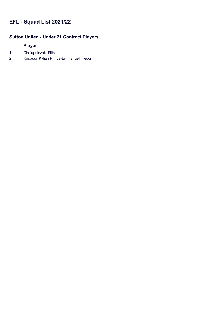### **Sutton United - Under 21 Contract Players**

- 1 Chalupniczak, Filip
- 2 Kouassi, Kylian Prince-Emmanuel Tresor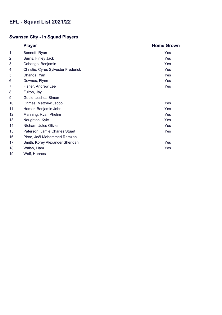## **Swansea City - In Squad Players**

|                | <b>Player</b>                       | <b>Home Grown</b> |
|----------------|-------------------------------------|-------------------|
| 1              | Bennett, Ryan                       | Yes               |
| $\overline{2}$ | Burns, Finley Jack                  | Yes               |
| 3              | Cabango, Benjamin                   | Yes               |
| 4              | Christie, Cyrus Sylvester Frederick | Yes               |
| 5              | Dhanda, Yan                         | Yes               |
| 6              | Downes, Flynn                       | Yes               |
| 7              | Fisher, Andrew Lee                  | Yes               |
| 8              | Fulton, Jay                         |                   |
| 9              | Gould, Joshua Simon                 |                   |
| 10             | Grimes, Matthew Jacob               | Yes               |
| 11             | Hamer, Benjamin John                | Yes               |
| 12             | Manning, Ryan Phelim                | Yes               |
| 13             | Naughton, Kyle                      | Yes               |
| 14             | Ntcham, Jules Olivier               | Yes               |
| 15             | Paterson, Jamie Charles Stuart      | Yes               |
| 16             | Piroe, Joël Mohammed Ramzan         |                   |
| 17             | Smith, Korey Alexander Sheridan     | Yes               |
| 18             | Walsh, Liam                         | Yes               |
| 19             | Wolf, Hannes                        |                   |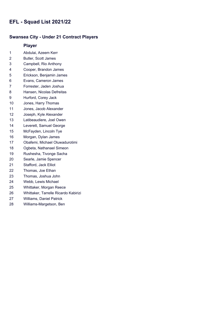#### **Swansea City - Under 21 Contract Players**

- Abdulai, Azeem Kerr
- Butler, Scott James
- Campbell, Rio Anthony
- Cooper, Brandon James
- Erickson, Benjamin James
- Evans, Cameron James
- Forrester, Jaden Joshua
- Hansen, Nicolas Defreitas
- Hurford, Corey Jack
- Jones, Harry Thomas
- Jones, Jacob Alexander
- Joseph, Kyle Alexander
- Latibeaudiere, Joel Owen
- Leverett, Samuel George
- McFayden, Lincoln Tye
- Morgan, Dylan James
- Obafemi, Michael Oluwadurotimi
- Ogbeta, Nathanael Simeon
- Rushesha, Tivonge Sacha
- Searle, Jamie Spencer
- Stafford, Jack Elliot
- Thomas, Joe Ethan
- Thomas, Joshua John
- Webb, Lewis Michael
- Whittaker, Morgan Reece
- Whittaker, Tarrelle Ricardo Kabirizi
- Williams, Daniel Patrick
- Williams-Margetson, Ben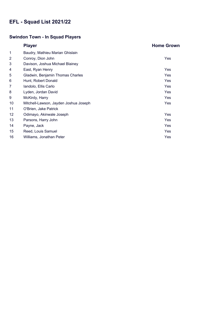## **Swindon Town - In Squad Players**

|                | <b>Player</b>                         | <b>Home Grown</b> |
|----------------|---------------------------------------|-------------------|
| 1              | Baudry, Mathieu Marian Ghislain       |                   |
| $\overline{2}$ | Conroy, Dion John                     | Yes               |
| 3              | Davison, Joshua Michael Blainey       |                   |
| 4              | East, Ryan Henry                      | Yes               |
| 5              | Gladwin, Benjamin Thomas Charles      | <b>Yes</b>        |
| 6              | Hunt, Robert Donald                   | Yes               |
| 7              | Iandolo, Ellis Carlo                  | Yes               |
| 8              | Lyden, Jordan David                   | Yes               |
| 9              | McKirdy, Harry                        | Yes               |
| 10             | Mitchell-Lawson, Jayden Joshua Joseph | Yes               |
| 11             | O'Brien, Jake Patrick                 |                   |
| 12             | Odimayo, Akinwale Joseph              | Yes               |
| 13             | Parsons, Harry John                   | Yes               |
| 14             | Payne, Jack                           | Yes               |
| 15             | Reed, Louis Samuel                    | <b>Yes</b>        |
| 16             | Williams, Jonathan Peter              | Yes               |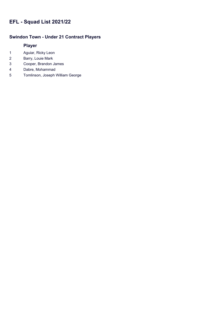### **Swindon Town - Under 21 Contract Players**

- Aguiar, Ricky Leon
- Barry, Louie Mark
- Cooper, Brandon James
- Dabre, Mohammad
- Tomlinson, Joseph William George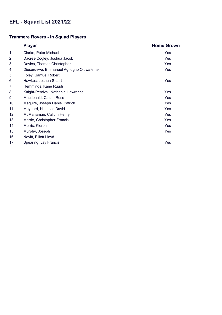## **Tranmere Rovers - In Squad Players**

|                | <b>Player</b>                          | <b>Home Grown</b> |
|----------------|----------------------------------------|-------------------|
| 1              | Clarke, Peter Michael                  | Yes               |
| $\overline{2}$ | Dacres-Cogley, Joshua Jacob            | Yes               |
| 3              | Davies, Thomas Christopher             | Yes               |
| 4              | Dieseruvwe, Emmanuel Aghogho Oluwafeme | Yes               |
| 5              | Foley, Samuel Robert                   |                   |
| 6              | Hawkes, Joshua Stuart                  | Yes               |
| 7              | Hemmings, Kane Ruudi                   |                   |
| 8              | Knight-Percival, Nathaniel Lawrence    | Yes               |
| 9              | Macdonald, Calum Ross                  | Yes               |
| 10             | Maguire, Joseph Daniel Patrick         | Yes               |
| 11             | Maynard, Nicholas David                | Yes               |
| 12             | McManaman, Callum Henry                | Yes               |
| 13             | Merrie, Christopher Francis            | Yes               |
| 14             | Morris, Kieron                         | Yes               |
| 15             | Murphy, Joseph                         | Yes               |
| 16             | Nevitt, Elliott Lloyd                  |                   |
| 17             | Spearing, Jay Francis                  | Yes               |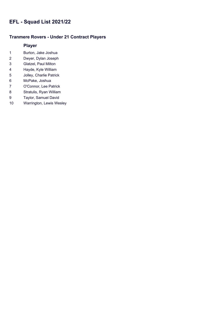### **Tranmere Rovers - Under 21 Contract Players**

- Burton, Jake Joshua
- Dwyer, Dylan Joseph
- Glatzel, Paul Milton
- Hayde, Kyle William
- Jolley, Charlie Patrick
- McPake, Joshua
- O'Connor, Lee Patrick
- Stratulis, Ryan William
- Taylor, Samuel David
- Warrington, Lewis Wesley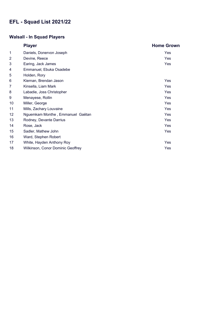## **Walsall - In Squad Players**

|                 | <b>Player</b>                     | <b>Home Grown</b> |
|-----------------|-----------------------------------|-------------------|
| 1               | Daniels, Donervon Joseph          | Yes               |
| $\overline{2}$  | Devine, Reece                     | Yes               |
| 3               | Earing, Jack James                | Yes               |
| 4               | Emmanuel, Ebuka Osadebe           |                   |
| 5               | Holden, Rory                      |                   |
| 6               | Kiernan, Brendan Jason            | Yes               |
| 7               | Kinsella, Liam Mark               | Yes               |
| 8               | Labadie, Joss Christopher         | Yes               |
| 9               | Menayese, Rollin                  | Yes               |
| 10              | Miller, George                    | <b>Yes</b>        |
| 11              | Mills, Zachary Louvaine           | Yes               |
| 12 <sub>2</sub> | Nguemkam Monthe, Emmanuel Gaëtan  | Yes               |
| 13              | Rodney, Devante Darrius           | Yes               |
| 14              | Rose, Jack                        | Yes               |
| 15              | Sadler, Mathew John               | Yes               |
| 16              | Ward, Stephen Robert              |                   |
| 17              | White, Hayden Anthony Roy         | Yes               |
| 18              | Wilkinson, Conor Dominic Geoffrey | Yes               |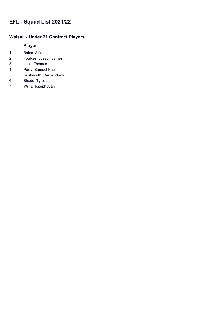### **Walsall - Under 21 Contract Players**

- Bates, Alfie
- Foulkes, Joseph James
- Leak, Thomas
- Perry, Samuel Paul
- Rushworth, Carl Andrew
- Shade, Tyrese
- Willis, Joseph Alan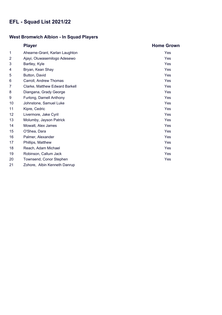### **West Bromwich Albion - In Squad Players**

|                | <b>Player</b>                  | <b>Home Grown</b> |
|----------------|--------------------------------|-------------------|
| 1              | Ahearne-Grant, Karlan Laughton | Yes               |
| $\overline{2}$ | Ajayi, Oluwasemilogo Adesewo   | Yes               |
| 3              | Bartley, Kyle                  | <b>Yes</b>        |
| 4              | Bryan, Kean Shay               | Yes               |
| 5              | Button, David                  | Yes               |
| 6              | Carroll, Andrew Thomas         | Yes               |
| 7              | Clarke, Matthew Edward Barkell | <b>Yes</b>        |
| 8              | Diangana, Grady George         | Yes               |
| 9              | Furlong, Darnell Anthony       | <b>Yes</b>        |
| 10             | Johnstone, Samuel Luke         | Yes               |
| 11             | Kipre, Cedric                  | Yes               |
| 12             | Livermore, Jake Cyril          | Yes               |
| 13             | Molumby, Jayson Patrick        | Yes               |
| 14             | Mowatt, Alex James             | Yes               |
| 15             | O'Shea, Dara                   | Yes               |
| 16             | Palmer, Alexander              | Yes               |
| 17             | Phillips, Matthew              | <b>Yes</b>        |
| 18             | Reach, Adam Michael            | Yes               |
| 19             | Robinson, Callum Jack          | Yes               |
| 20             | Townsend, Conor Stephen        | Yes               |
| 21             | Zohore, Albin Kenneth Danrup   |                   |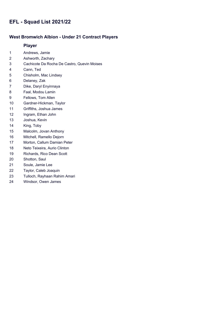### **West Bromwich Albion - Under 21 Contract Players**

- Andrews, Jamie
- Ashworth, Zachary
- Cachicote Da Rocha De Castro, Quevin Moises
- Cann, Ted
- Chisholm, Mac Lindsey
- Delaney, Zak
- Dike, Daryl Enyinnaya
- Faal, Modou Lamin
- Fellows, Tom Allen
- Gardner-Hickman, Taylor
- Griffiths, Joshua James
- Ingram, Ethan John
- Joshua, Kevin
- King, Toby
- Malcolm, Jovan Anthony
- Mitchell, Ramello Dejorn
- Morton, Callum Damian Peter
- Neto Teixeira, Aurio Clinton
- Richards, Rico Dean Scott
- Shotton, Saul
- Soule, Jamie Lee
- Taylor, Caleb Joaquin
- Tulloch, Rayhaan Rahim Amari
- Windsor, Owen James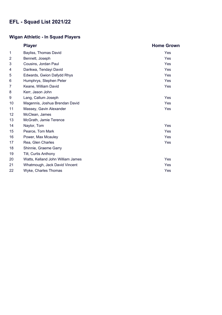## **Wigan Athletic - In Squad Players**

|                 | <b>Player</b>                     | <b>Home Grown</b> |
|-----------------|-----------------------------------|-------------------|
| 1               | Bayliss, Thomas David             | Yes               |
| $\overline{2}$  | Bennett, Joseph                   | <b>Yes</b>        |
| 3               | Cousins, Jordan Paul              | <b>Yes</b>        |
| 4               | Darikwa, Tendayi David            | Yes               |
| 5               | Edwards, Gwion Dafydd Rhys        | <b>Yes</b>        |
| 6               | Humphrys, Stephen Peter           | Yes               |
| 7               | Keane, William David              | Yes               |
| 8               | Kerr, Jason John                  |                   |
| 9               | Lang, Callum Joseph               | Yes               |
| 10              | Magennis, Joshua Brendan David    | Yes               |
| 11              | Massey, Gavin Alexander           | Yes               |
| 12 <sup>2</sup> | McClean, James                    |                   |
| 13              | McGrath, Jamie Terence            |                   |
| 14              | Naylor, Tom                       | <b>Yes</b>        |
| 15              | Pearce, Tom Mark                  | Yes               |
| 16              | Power, Max Mcauley                | Yes               |
| 17              | Rea, Glen Charles                 | Yes               |
| 18              | Shinnie, Graeme Garry             |                   |
| 19              | Tilt, Curtis Anthony              |                   |
| 20              | Watts, Kelland John William James | Yes               |
| 21              | Whatmough, Jack David Vincent     | Yes               |
| 22              | <b>Wyke, Charles Thomas</b>       | Yes               |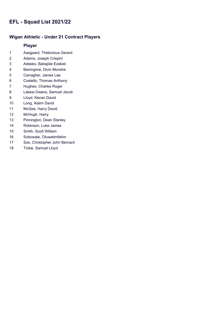#### **Wigan Athletic - Under 21 Contract Players**

- Aasgaard, Thelonious Gerard
- Adams, Joseph Crispini
- Adeeko, Babajide Ezekiel
- Baningime, Divin Monshe
- Carragher, James Lee
- Costello, Thomas Anthony
- Hughes, Charles Roger
- Lakew-Owens, Samuel Jacob
- Lloyd, Kieran David
- Long, Adam David
- McGee, Harry David
- McHugh, Harry
- Pinnington, Dean Stanley
- Robinson, Luke James
- Smith, Scott William
- Sobowale, Oluwatimilehin
- Sze, Christopher John Bernard
- Tickle, Samuel Lloyd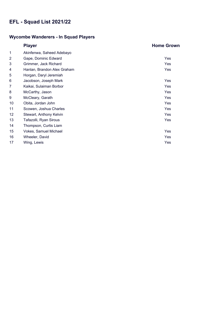## **Wycombe Wanderers - In Squad Players**

|                | <b>Player</b>               | <b>Home Grown</b> |
|----------------|-----------------------------|-------------------|
| 1              | Akinfenwa, Saheed Adebayo   |                   |
| $\overline{c}$ | Gape, Dominic Edward        | Yes               |
| 3              | Grimmer, Jack Richard       | Yes               |
| 4              | Hanlan, Brandon Alex Graham | Yes               |
| 5              | Horgan, Daryl Jeremiah      |                   |
| 6              | Jacobson, Joseph Mark       | Yes               |
| 7              | Kaikai, Sulaiman Borbor     | Yes               |
| 8              | McCarthy, Jason             | Yes               |
| 9              | McCleary, Garath            | Yes               |
| 10             | Obita, Jordan John          | Yes               |
| 11             | Scowen, Joshua Charles      | Yes               |
| 12             | Stewart, Anthony Kelvin     | Yes               |
| 13             | Tafazolli, Ryan Sirous      | Yes               |
| 14             | Thompson, Curtis Liam       |                   |
| 15             | Vokes, Samuel Michael       | Yes               |
| 16             | Wheeler, David              | Yes               |
| 17             | Wing, Lewis                 | Yes               |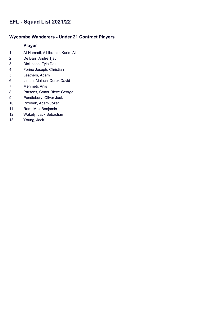### **Wycombe Wanderers - Under 21 Contract Players**

- Al-Hamadi, Ali Ibrahim Karim Ali
- De Barr, Andre Tjay
- Dickinson, Tyla Dez
- Forino Joseph, Christian
- Leathers, Adam
- Linton, Malachi Derek David
- Mehmeti, Anis
- Parsons, Conor Riece George
- Pendlebury, Oliver Jack
- Przybek, Adam Jozef
- Ram, Max Benjamin
- Wakely, Jack Sebastian
- Young, Jack